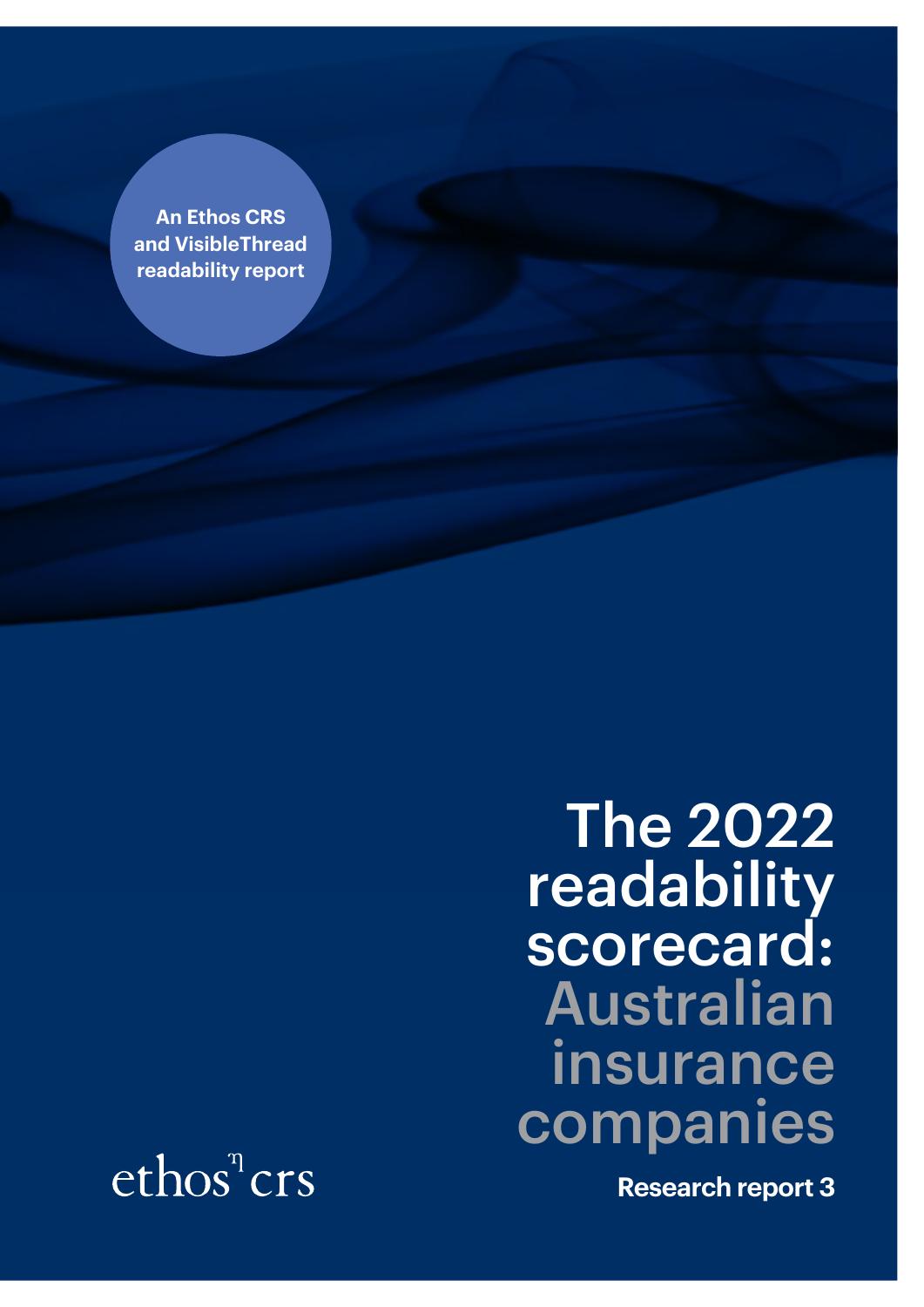**An Ethos CRS and VisibleThread readability report**

> The 2022 readability scorecard: Australian insurance companies

 $ethos<sup>n</sup>crs$ 

**Research report 3**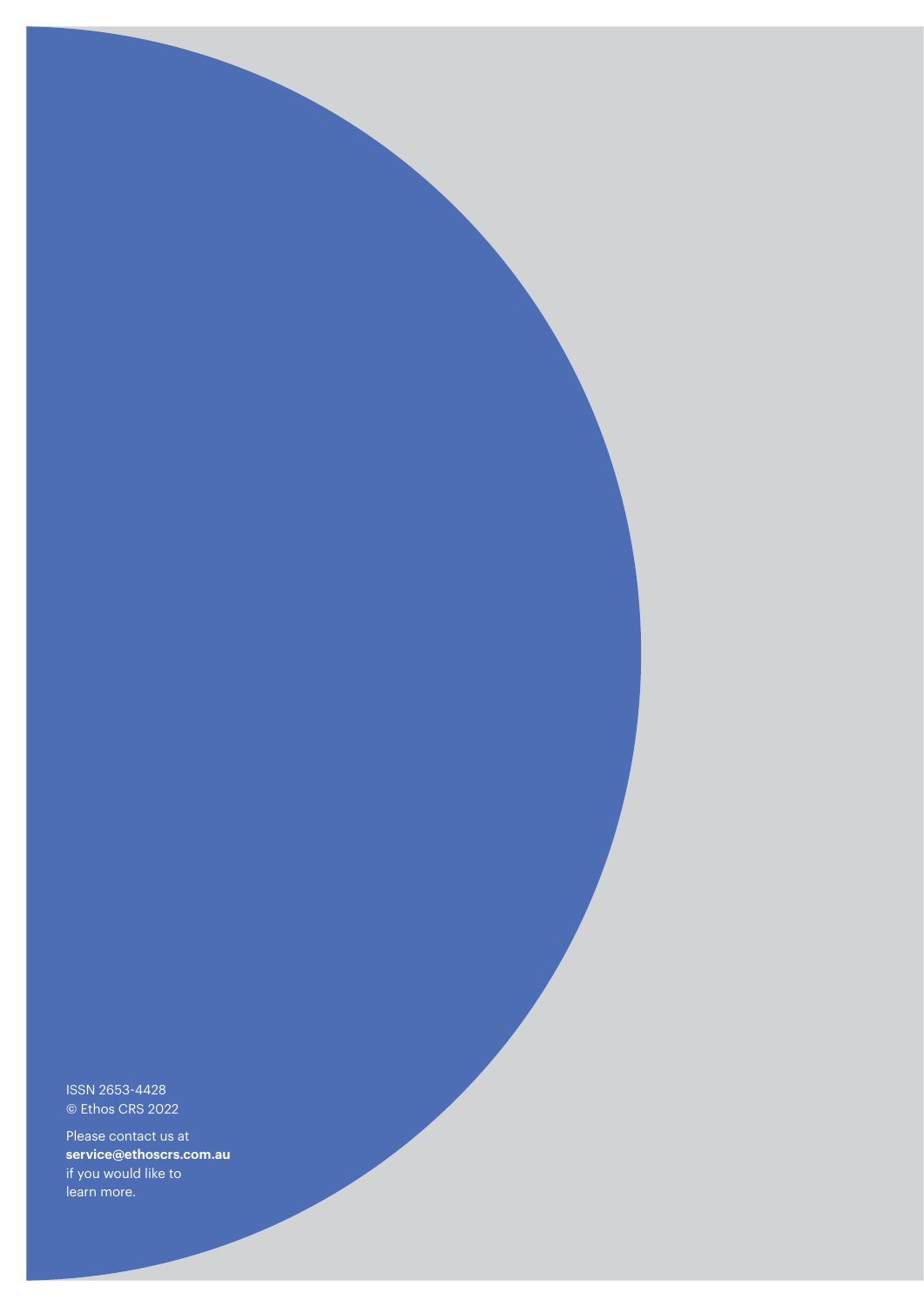ISSN 2653-4428 © Ethos CRS 2022

Please contact us at **service@ethoscrs.com.au**  if you would like to learn more.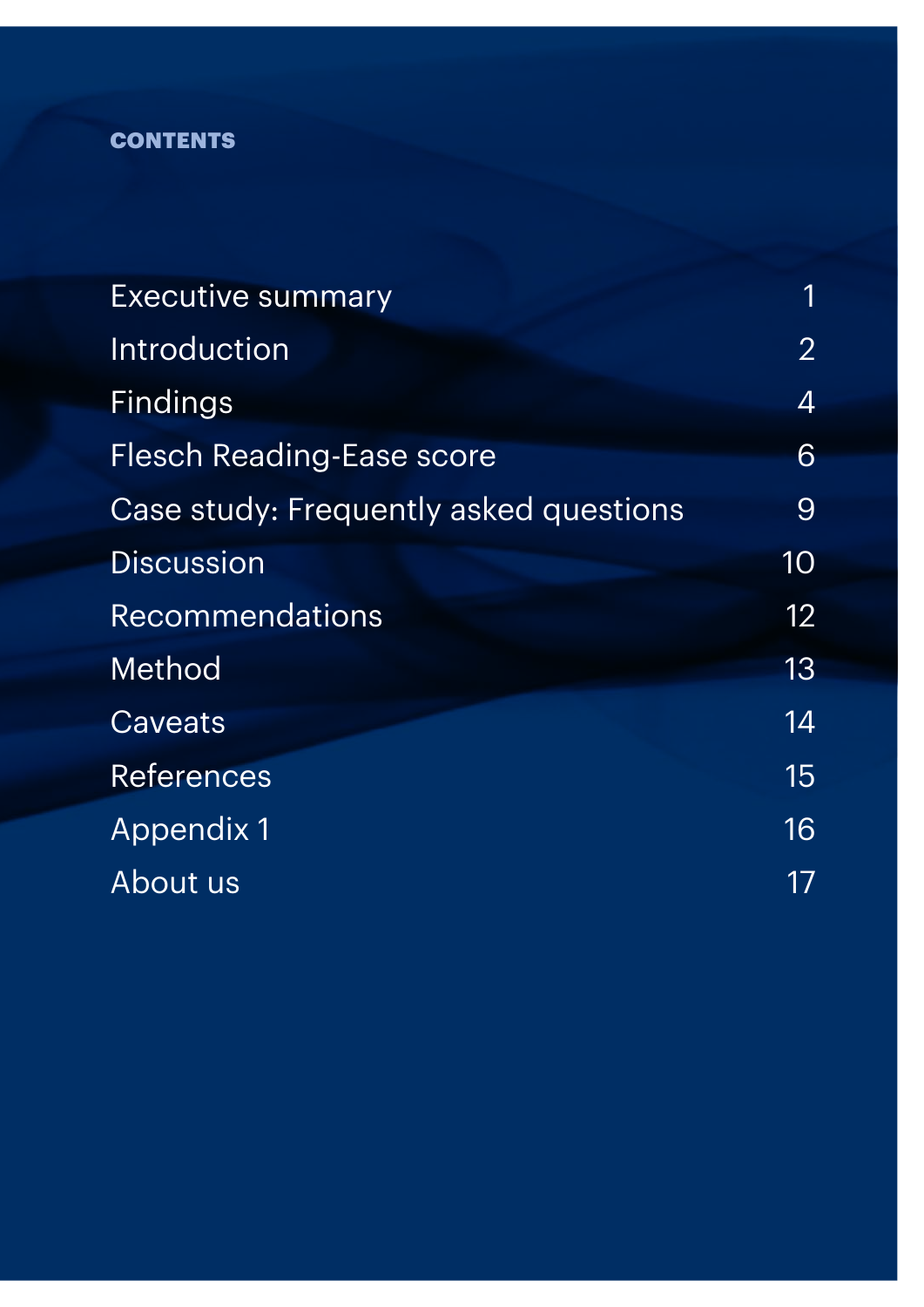## **CONTENTS**

| <b>Executive summary</b>               | 1                |
|----------------------------------------|------------------|
| Introduction                           | $\overline{2}$   |
| <b>Findings</b>                        | $\boldsymbol{4}$ |
| <b>Flesch Reading-Ease score</b>       | 6                |
| Case study: Frequently asked questions | 9                |
| <b>Discussion</b>                      | 10               |
| <b>Recommendations</b>                 | 12               |
| Method                                 | 13               |
| Caveats                                | 14               |
| <b>References</b>                      | 15               |
| <b>Appendix 1</b>                      | 16               |
| About us                               | 17               |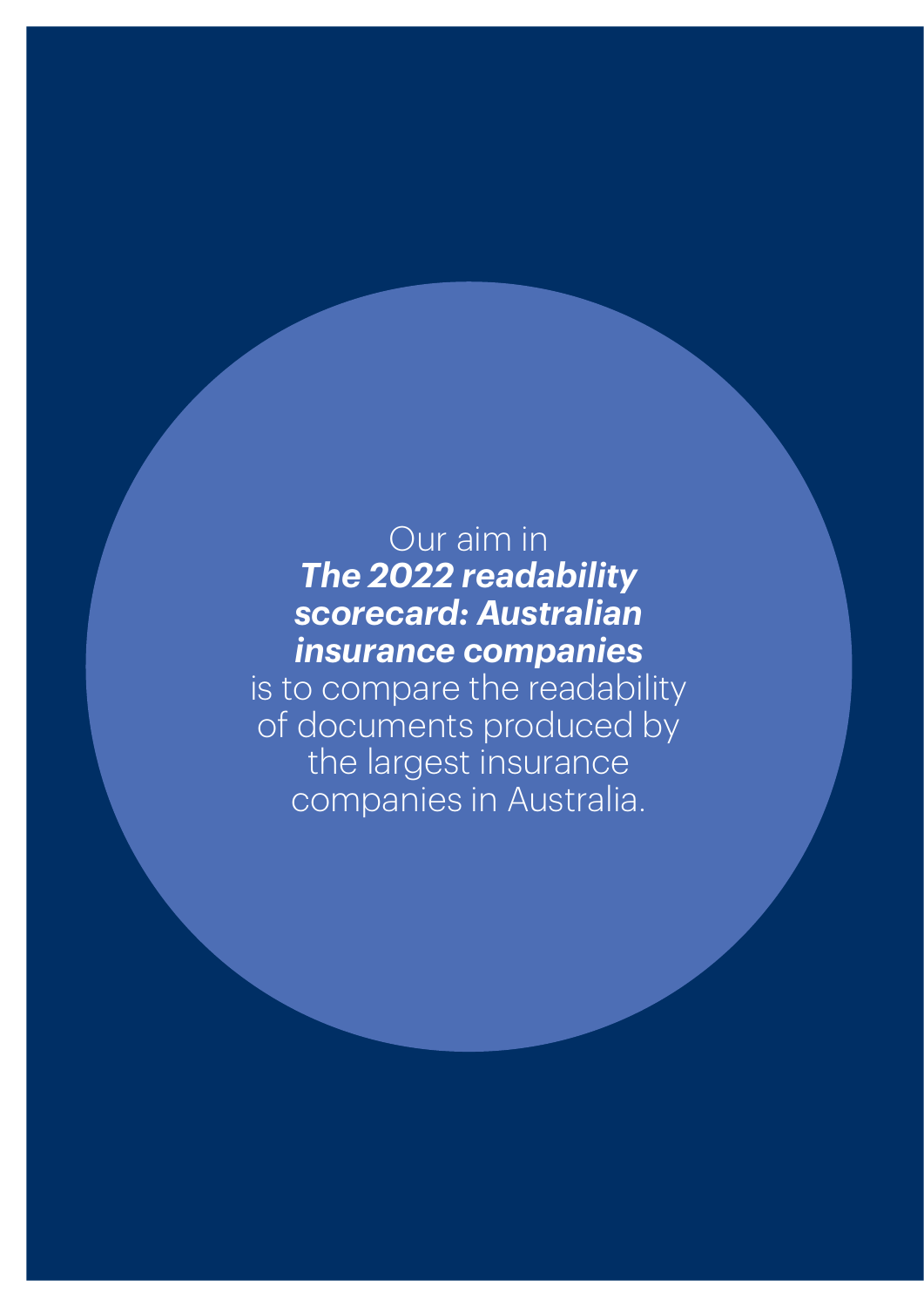## Our aim in *The 2022 readability scorecard: Australian insurance companies*

is to compare the readability of documents produced by the largest insurance companies in Australia.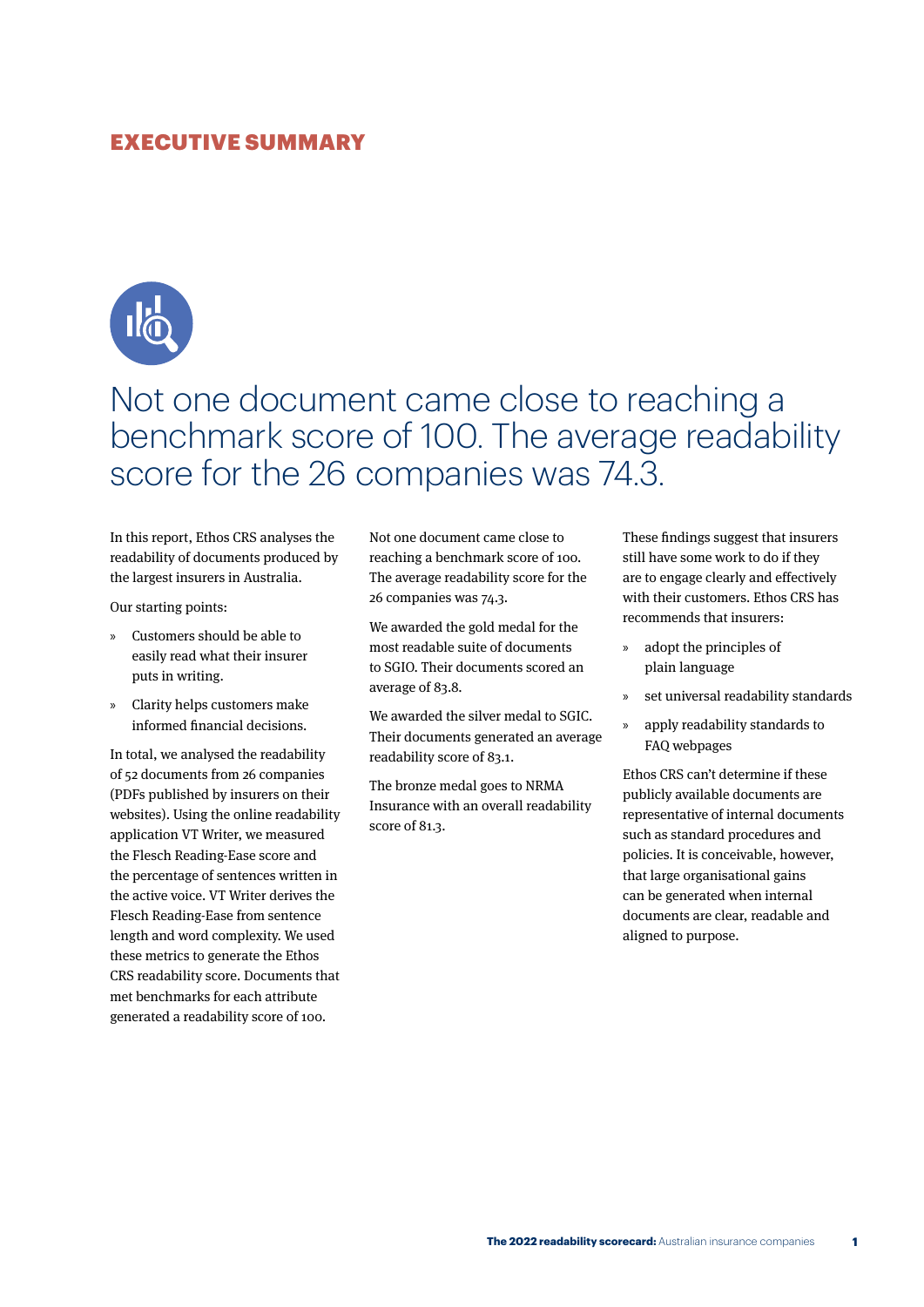## <span id="page-4-0"></span>EXECUTIVE SUMMARY



## Not one document came close to reaching a benchmark score of 100. The average readability score for the 26 companies was 74.3.

In this report, Ethos CRS analyses the readability of documents produced by the largest insurers in Australia.

Our starting points:

- » Customers should be able to easily read what their insurer puts in writing.
- » Clarity helps customers make informed financial decisions.

In total, we analysed the readability of 52 documents from 26 companies (PDFs published by insurers on their websites). Using the online readability application VT Writer, we measured the Flesch Reading-Ease score and the percentage of sentences written in the active voice. VT Writer derives the Flesch Reading-Ease from sentence length and word complexity. We used these metrics to generate the Ethos CRS readability score. Documents that met benchmarks for each attribute generated a readability score of 100.

Not one document came close to reaching a benchmark score of 100. The average readability score for the 26 companies was 74.3.

We awarded the gold medal for the most readable suite of documents to SGIO. Their documents scored an average of 83.8.

We awarded the silver medal to SGIC. Their documents generated an average readability score of 83.1.

The bronze medal goes to NRMA Insurance with an overall readability score of 81.3.

These findings suggest that insurers still have some work to do if they are to engage clearly and effectively with their customers. Ethos CRS has recommends that insurers:

- » adopt the principles of plain language
- » set universal readability standards
- » apply readability standards to FAQ webpages

Ethos CRS can't determine if these publicly available documents are representative of internal documents such as standard procedures and policies. It is conceivable, however, that large organisational gains can be generated when internal documents are clear, readable and aligned to purpose.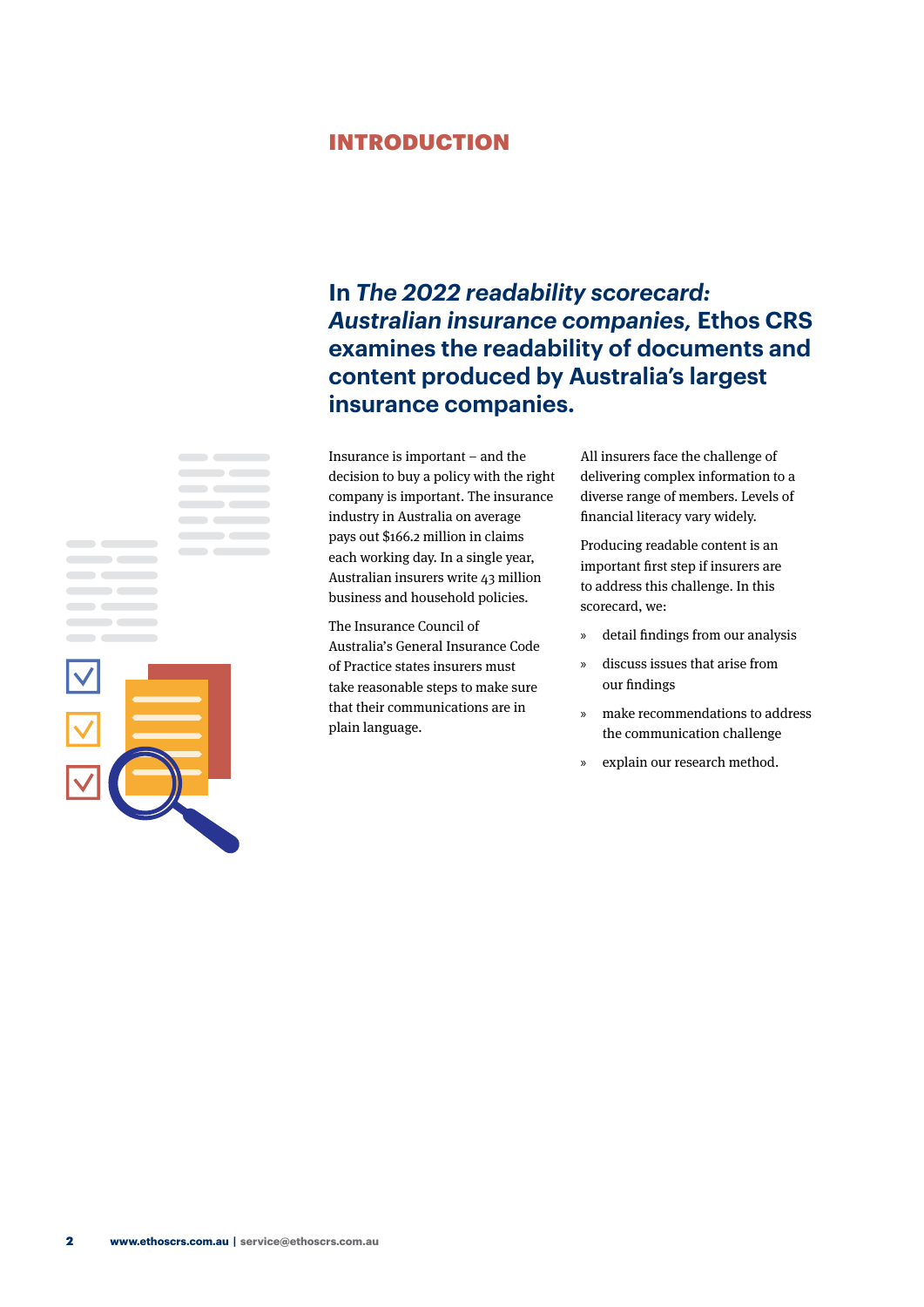## <span id="page-5-0"></span>INTRODUCTION

## **In** *The 2022 readability scorecard: Australian insurance companies,* **Ethos CRS examines the readability of documents and content produced by Australia's largest insurance companies.**

Insurance is important – and the decision to buy a policy with the right company is important. The insurance industry in Australia on average pays out \$166.2 million in claims each working day. In a single year, Australian insurers write 43 million business and household policies.

The Insurance Council of Australia's General Insurance Code of Practice states insurers must take reasonable steps to make sure that their communications are in plain language.

All insurers face the challenge of delivering complex information to a diverse range of members. Levels of financial literacy vary widely.

Producing readable content is an important first step if insurers are to address this challenge. In this scorecard, we:

- » detail findings from our analysis
- » discuss issues that arise from our findings
- » make recommendations to address the communication challenge
- » explain our research method.



**CONTRACTOR**  $\sim$ 

 $\mathbf{r}$  and  $\mathbf{r}$  and  $\mathbf{r}$ 

 $\blacksquare$ 

 $\overline{\phantom{a}}$ 

**CONTRACTOR**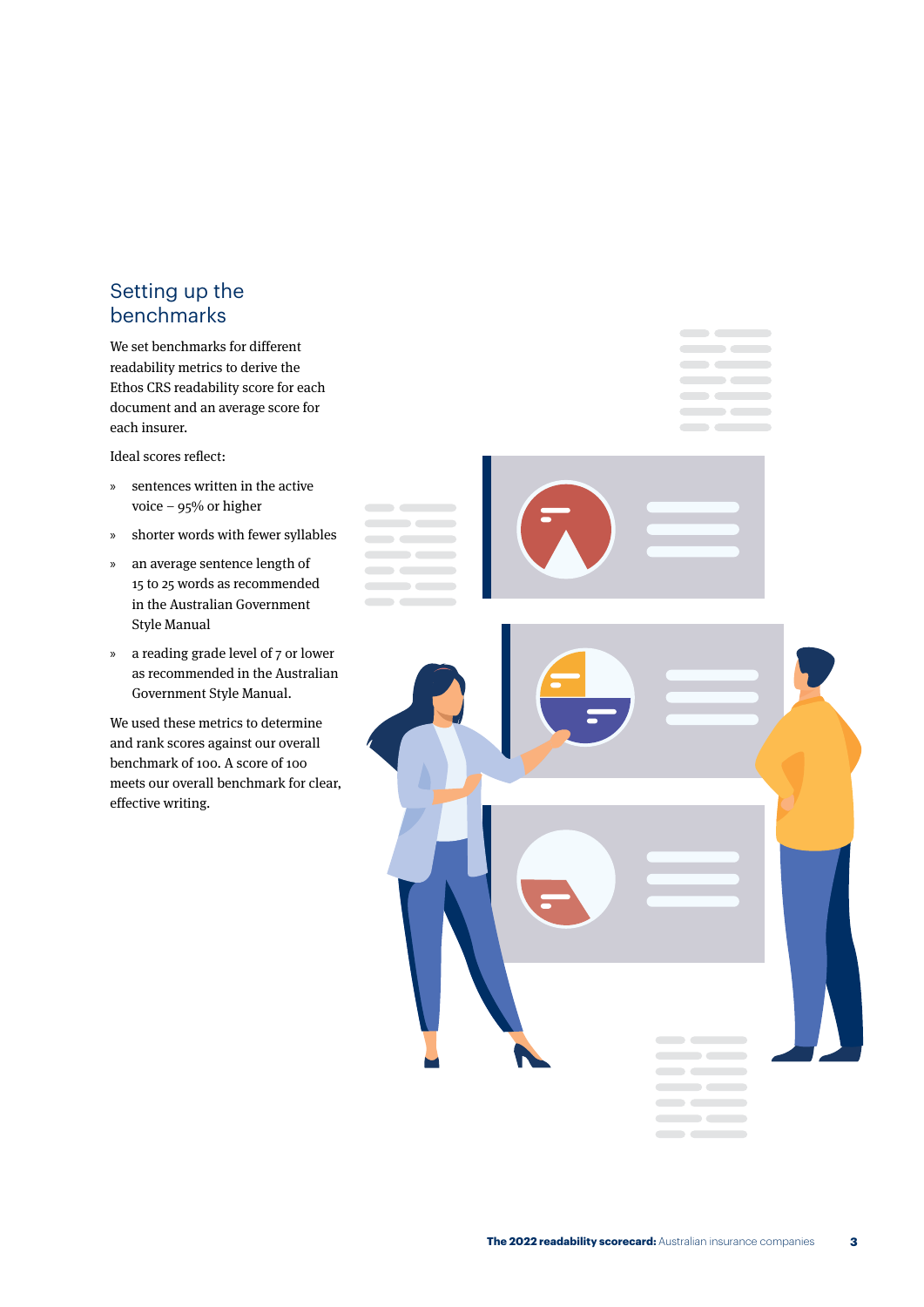## Setting up the benchmarks

We set benchmarks for different readability metrics to derive the Ethos CRS readability score for each document and an average score for each insurer.

Ideal scores reflect:

- » sentences written in the active voice – 95% or higher
- » shorter words with fewer syllables
- » an average sentence length of 15 to 25 words as recommended in the Australian Government Style Manual
- » a reading grade level of 7 or lower as recommended in the Australian Government Style Manual.

We used these metrics to determine and rank scores against our overall benchmark of 100. A score of 100 meets our overall benchmark for clear, effective writing.

**Soldiers**  $\overline{\phantom{a}}$ 

 $\sim$ 

 $\sim$   $\sim$   $\sim$ 

 $\blacksquare$ 

 $\qquad \qquad \qquad$  $\sim$   $\sim$   $\sim$  $\overline{\phantom{a}}$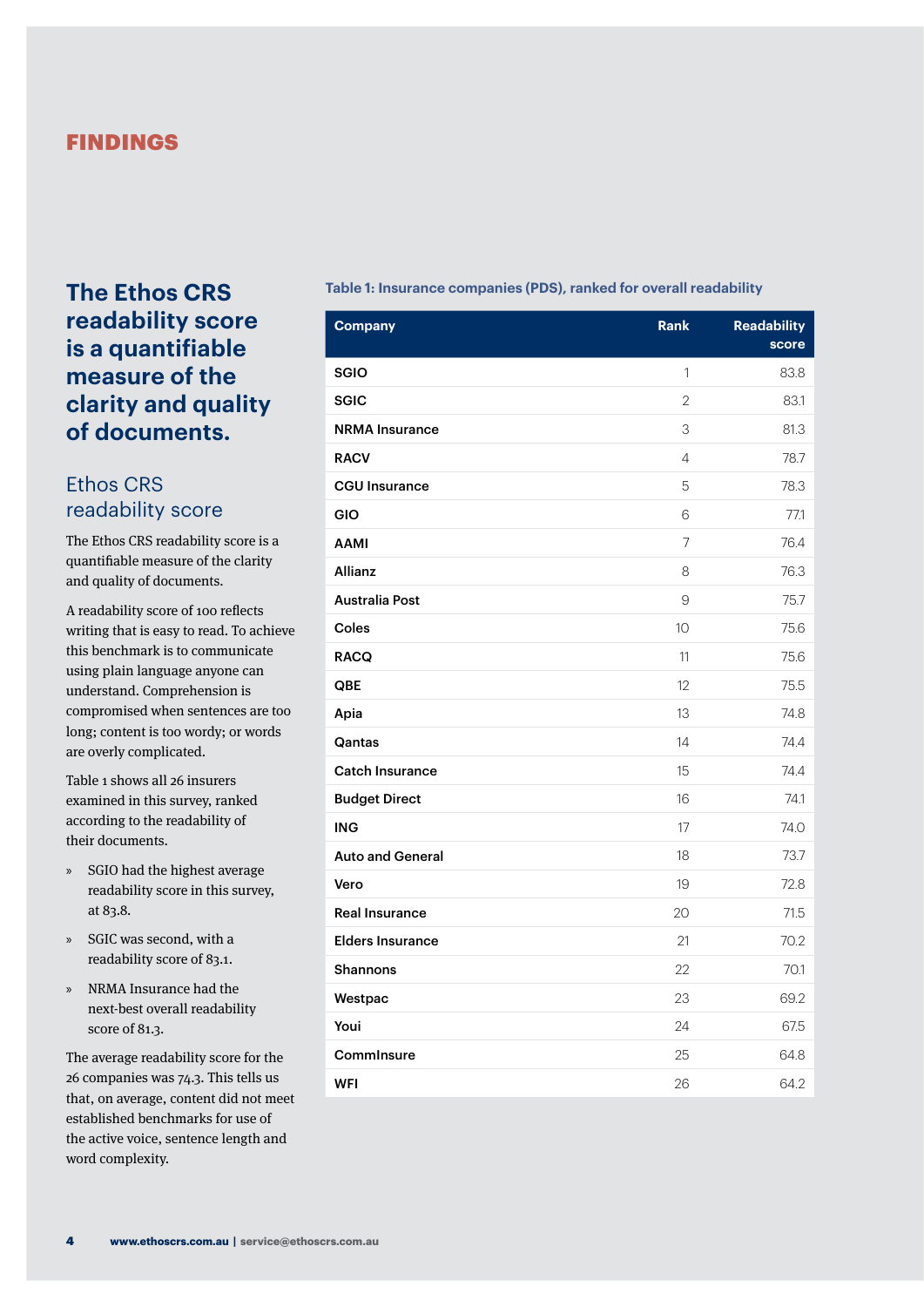## <span id="page-7-0"></span>FINDINGS

## **The Ethos CRS readability score is a quantifiable measure of the clarity and quality of documents.**

## Ethos CRS readability score

The Ethos CRS readability score is a quantifiable measure of the clarity and quality of documents.

A readability score of 100 reflects writing that is easy to read. To achieve this benchmark is to communicate using plain language anyone can understand. Comprehension is compromised when sentences are too long; content is too wordy; or words are overly complicated.

Table 1 shows all 26 insurers examined in this survey, ranked according to the readability of their documents.

- » SGIO had the highest average readability score in this survey, at 83.8.
- » SGIC was second, with a readability score of 83.1.
- » NRMA Insurance had the next-best overall readability score of 81.3.

The average readability score for the 26 companies was 74.3. This tells us that, on average, content did not meet established benchmarks for use of the active voice, sentence length and word complexity.

#### **Table 1: Insurance companies (PDS), ranked for overall readability**

| <b>Company</b>          | <b>Rank</b>    | <b>Readability</b><br>score |
|-------------------------|----------------|-----------------------------|
| <b>SGIO</b>             | 1              | 83.8                        |
| <b>SGIC</b>             | $\overline{2}$ | 83.1                        |
| <b>NRMA</b> Insurance   | 3              | 81.3                        |
| <b>RACV</b>             | 4              | 78.7                        |
| <b>CGU Insurance</b>    | 5              | 78.3                        |
| GIO                     | 6              | 77.1                        |
| <b>AAMI</b>             | $\overline{7}$ | 76.4                        |
| Allianz                 | 8              | 76.3                        |
| <b>Australia Post</b>   | 9              | 75.7                        |
| Coles                   | 10             | 75.6                        |
| <b>RACQ</b>             | 11             | 75.6                        |
| QBE                     | 12             | 75.5                        |
| Apia                    | 13             | 74.8                        |
| Qantas                  | 14             | 74.4                        |
| <b>Catch Insurance</b>  | 15             | 74.4                        |
| <b>Budget Direct</b>    | 16             | 74.1                        |
| <b>ING</b>              | 17             | 74.0                        |
| <b>Auto and General</b> | 18             | 73.7                        |
| Vero                    | 19             | 72.8                        |
| <b>Real Insurance</b>   | 20             | 71.5                        |
| <b>Elders Insurance</b> | 21             | 70.2                        |
| <b>Shannons</b>         | 22             | 70.1                        |
| Westpac                 | 23             | 69.2                        |
| Youi                    | 24             | 67.5                        |
| Comminsure              | 25             | 64.8                        |
| <b>WFI</b>              | 26             | 64.2                        |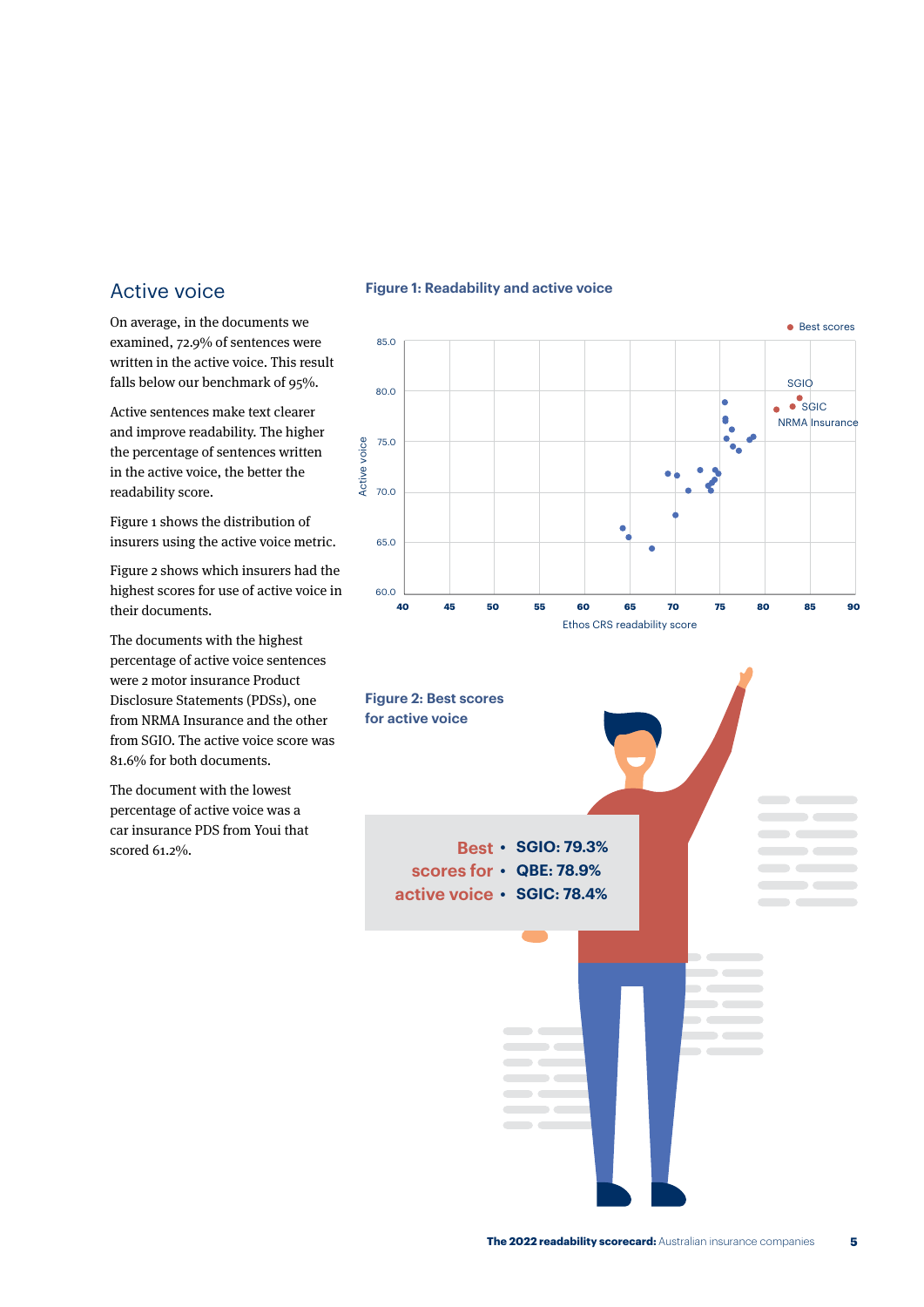## Active voice

On average, in the documents we examined, 72.9% of sentences were written in the active voice. This result falls below our benchmark of 95%.

Active sentences make text clearer and improve readability. The higher the percentage of sentences written in the active voice, the better the readability score.

Figure 1 shows the distribution of insurers using the active voice metric.

Figure 2 shows which insurers had the highest scores for use of active voice in their documents.

The documents with the highest percentage of active voice sentences were 2 motor insurance Product Disclosure Statements (PDSs), one from NRMA Insurance and the other from SGIO. The active voice score was 81.6% for both documents.

The document with the lowest percentage of active voice was a car insurance PDS from Youi that scored 61.2%.

#### **Figure 1: Readability and active voice**



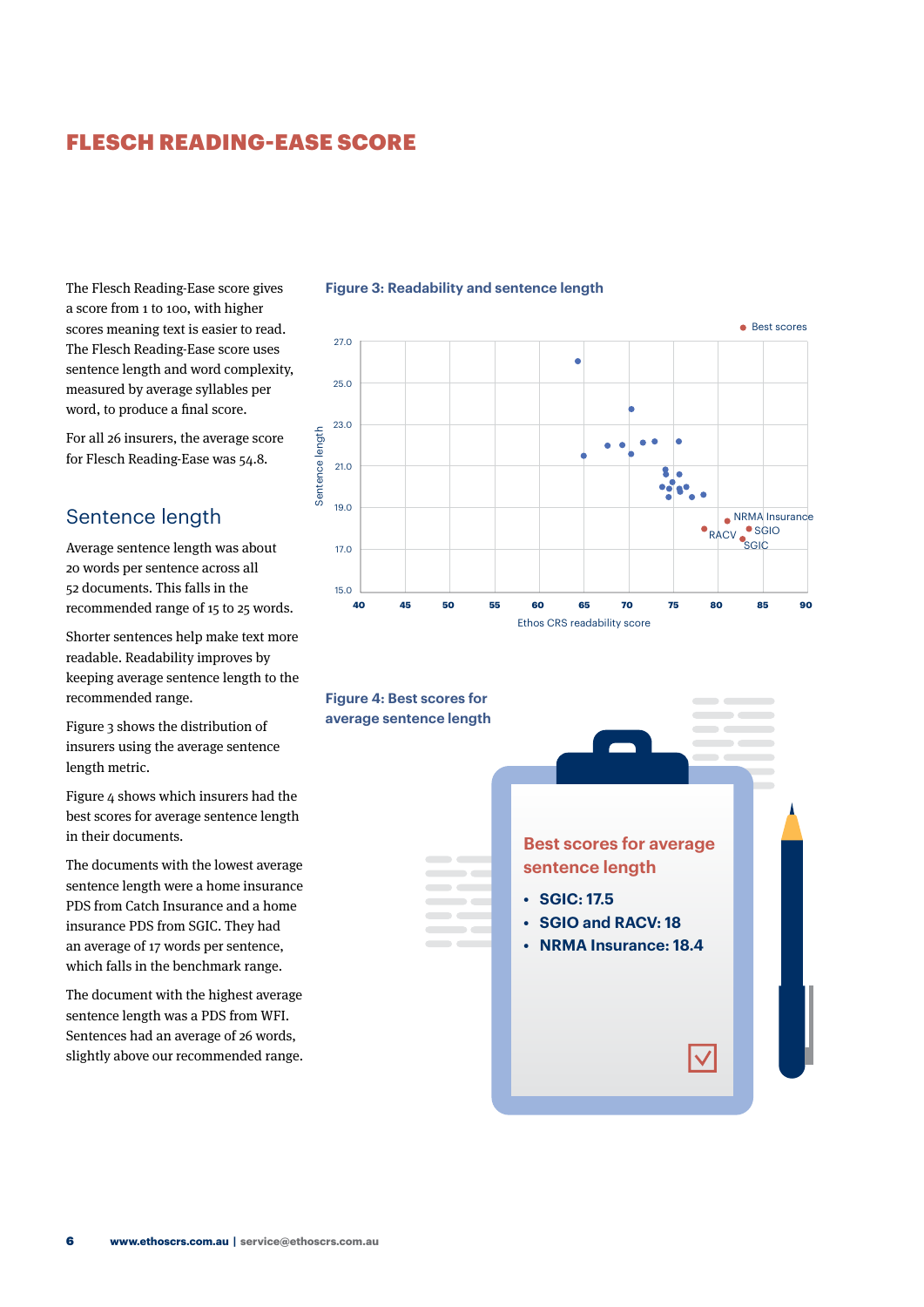## <span id="page-9-0"></span>FLESCH READING-EASE SCORE

The Flesch Reading-Ease score gives a score from 1 to 100, with higher scores meaning text is easier to read. The Flesch Reading-Ease score uses sentence length and word complexity, measured by average syllables per word, to produce a final score.

For all 26 insurers, the average score for Flesch Reading-Ease was 54.8.

## Sentence length

Average sentence length was about 20 words per sentence across all 52 documents. This falls in the recommended range of 15 to 25 words.

Shorter sentences help make text more readable. Readability improves by keeping average sentence length to the recommended range.

Figure 3 shows the distribution of insurers using the average sentence length metric.

Figure 4 shows which insurers had the best scores for average sentence length in their documents.

The documents with the lowest average sentence length were a home insurance PDS from Catch Insurance and a home insurance PDS from SGIC. They had an average of 17 words per sentence, which falls in the benchmark range.

The document with the highest average sentence length was a PDS from WFI. Sentences had an average of 26 words, slightly above our recommended range.





#### **Figure 3: Readability and sentence length**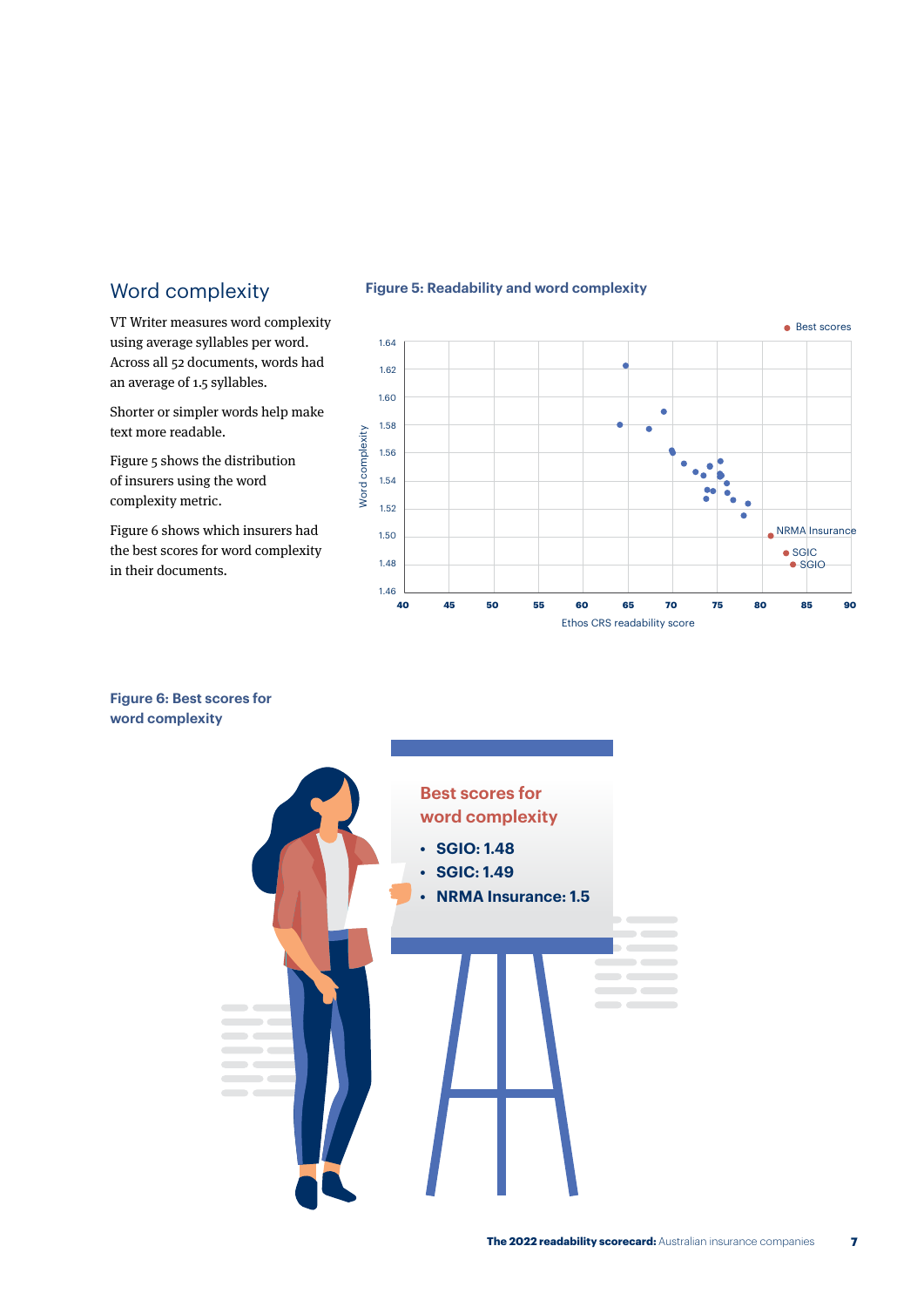## Word complexity

VT Writer measures word complexity using average syllables per word. Across all 52 documents, words had an average of 1.5 syllables.

Shorter or simpler words help make text more readable.

Figure 5 shows the distribution of insurers using the word complexity metric.

Figure 6 shows which insurers had the best scores for word complexity in their documents.



**Figure 5: Readability and word complexity**

#### **Figure 6: Best scores for word complexity**

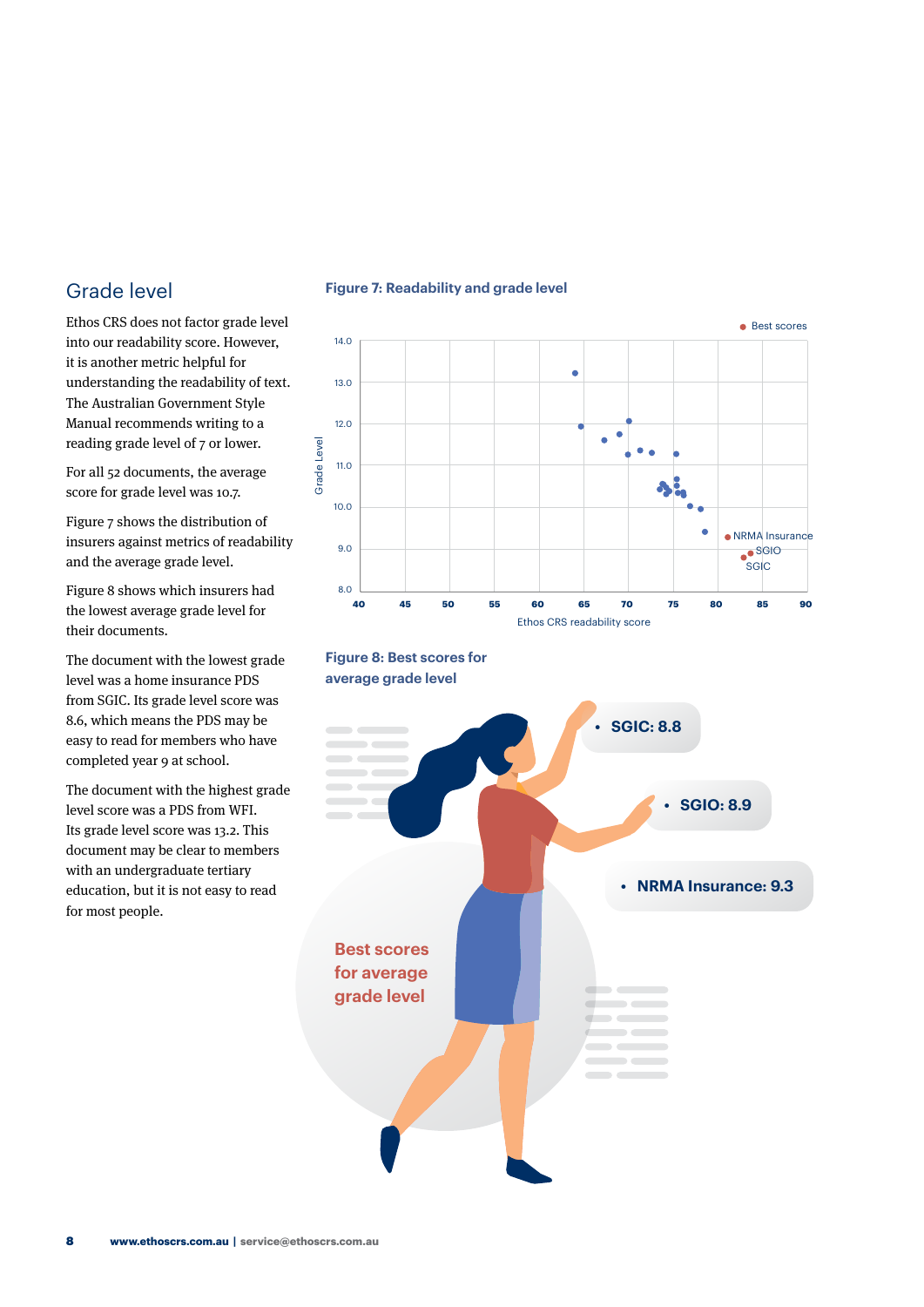## Grade level

Ethos CRS does not factor grade level into our readability score. However, it is another metric helpful for understanding the readability of text. The Australian Government Style Manual recommends writing to a reading grade level of 7 or lower.

For all 52 documents, the average score for grade level was 10.7.

Figure 7 shows the distribution of insurers against metrics of readability and the average grade level.

Figure 8 shows which insurers had the lowest average grade level for their documents.

The document with the lowest grade level was a home insurance PDS from SGIC. Its grade level score was 8.6, which means the PDS may be easy to read for members who have completed year 9 at school.

The document with the highest grade level score was a PDS from WFI. Its grade level score was 13.2. This document may be clear to members with an undergraduate tertiary education, but it is not easy to read for most people.

#### **Figure 7: Readability and grade level**





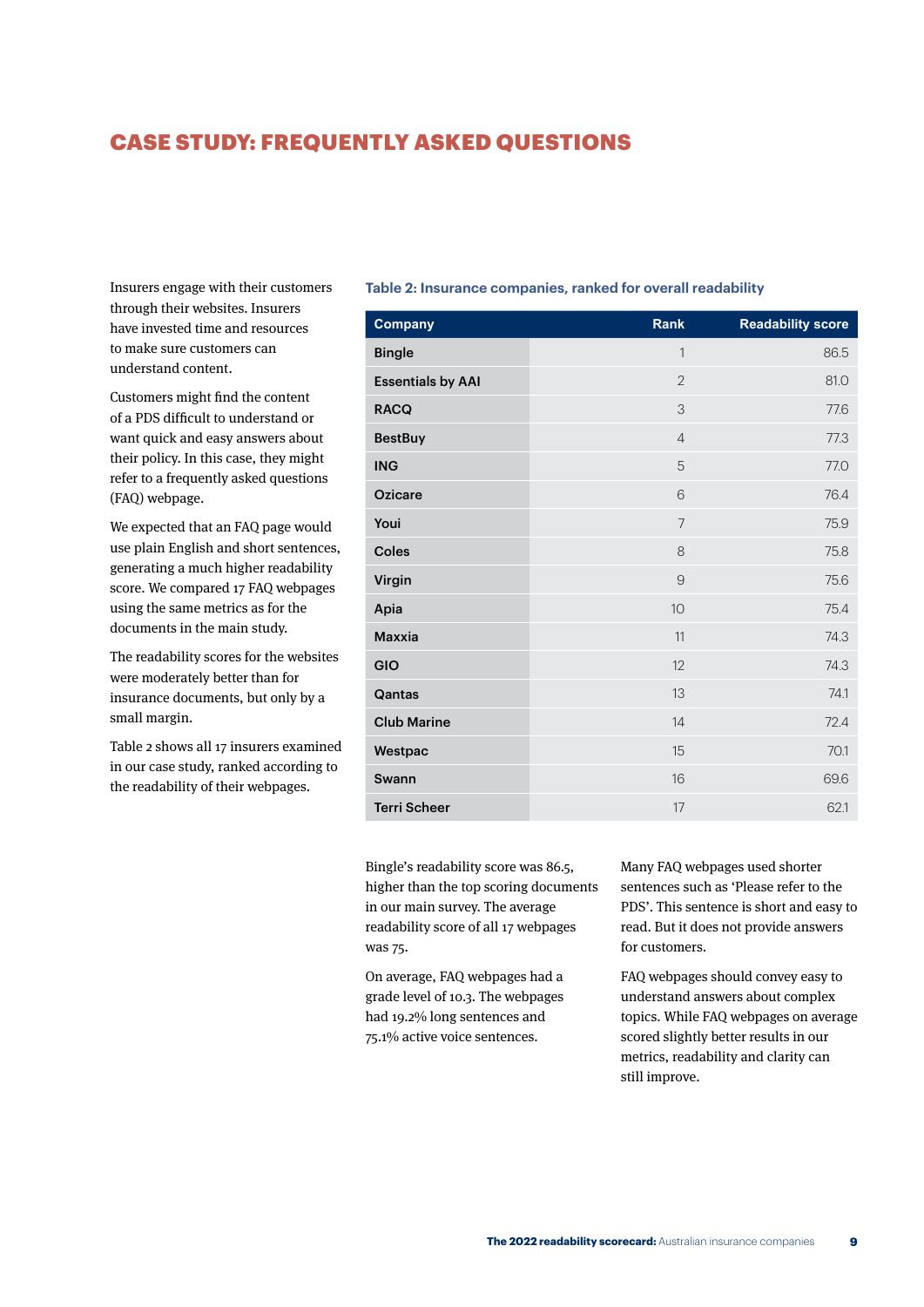## <span id="page-12-0"></span>CASE STUDY: FREQUENTLY ASKED QUESTIONS

Insurers engage with their customers through their websites. Insurers have invested time and resources to make sure customers can understand content.

Customers might find the content of a PDS difficult to understand or want quick and easy answers about their policy. In this case, they might refer to a frequently asked questions (FAQ) webpage.

We expected that an FAQ page would use plain English and short sentences, generating a much higher readability score. We compared 17 FAQ webpages using the same metrics as for the documents in the main study.

The readability scores for the websites were moderately better than for insurance documents, but only by a small margin.

Table 2 shows all 17 insurers examined in our case study, ranked according to the readability of their webpages.

#### **Table 2: Insurance companies, ranked for overall readability**

| Company                  | Rank           | <b>Readability score</b> |
|--------------------------|----------------|--------------------------|
| <b>Bingle</b>            | 1              | 86.5                     |
| <b>Essentials by AAI</b> | $\overline{2}$ | 81.0                     |
| <b>RACQ</b>              | 3              | 77.6                     |
| <b>BestBuy</b>           | $\overline{4}$ | 77.3                     |
| <b>ING</b>               | 5              | 77.0                     |
| <b>Ozicare</b>           | 6              | 76.4                     |
| Youi                     | $\overline{7}$ | 75.9                     |
| Coles                    | 8              | 75.8                     |
| Virgin                   | 9              | 75.6                     |
| Apia                     | 10             | 75.4                     |
| Maxxia                   | 11             | 74.3                     |
| GIO                      | 12             | 74.3                     |
| Qantas                   | 13             | 74.1                     |
| <b>Club Marine</b>       | 14             | 72.4                     |
| Westpac                  | 15             | 70.1                     |
| Swann                    | 16             | 69.6                     |
| <b>Terri Scheer</b>      | 17             | 62.1                     |

Bingle's readability score was 86.5, higher than the top scoring documents in our main survey. The average readability score of all 17 webpages was 75.

On average, FAQ webpages had a grade level of 10.3. The webpages had 19.2% long sentences and 75.1% active voice sentences.

Many FAQ webpages used shorter sentences such as 'Please refer to the PDS'. This sentence is short and easy to read. But it does not provide answers for customers.

FAQ webpages should convey easy to understand answers about complex topics. While FAQ webpages on average scored slightly better results in our metrics, readability and clarity can still improve.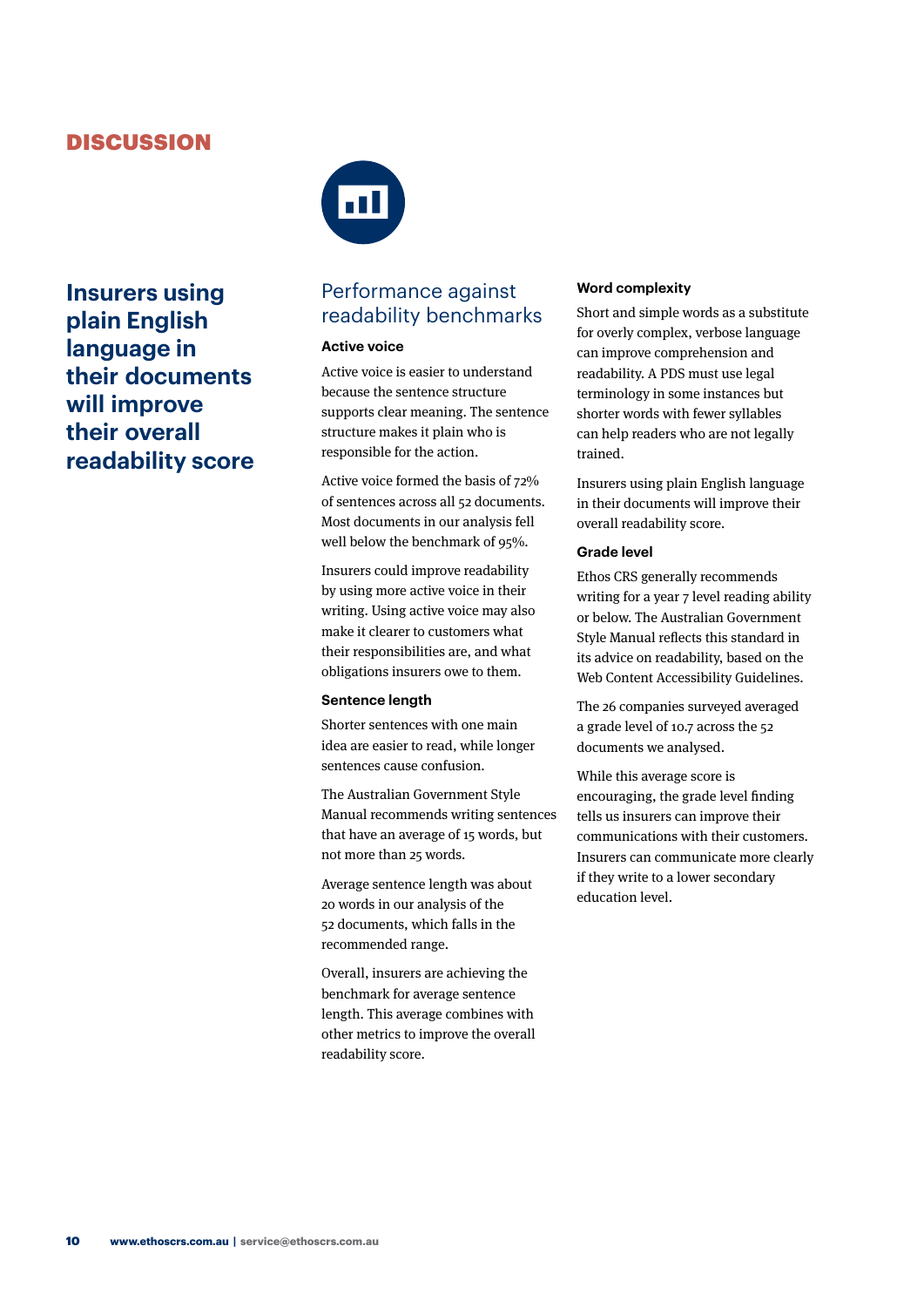## <span id="page-13-0"></span>**DISCUSSION**

 $\overline{\mathbf{m}}$ 

**Insurers using plain English language in their documents will improve their overall readability score**



## Performance against readability benchmarks

#### **Active voice**

Active voice is easier to understand because the sentence structure supports clear meaning. The sentence structure makes it plain who is responsible for the action.

Active voice formed the basis of 72% of sentences across all 52 documents. Most documents in our analysis fell well below the benchmark of 95%.

Insurers could improve readability by using more active voice in their writing. Using active voice may also make it clearer to customers what their responsibilities are, and what obligations insurers owe to them.

#### **Sentence length**

Shorter sentences with one main idea are easier to read, while longer sentences cause confusion.

The Australian Government Style Manual recommends writing sentences that have an average of 15 words, but not more than 25 words.

Average sentence length was about 20 words in our analysis of the 52 documents, which falls in the recommended range.

Overall, insurers are achieving the benchmark for average sentence length. This average combines with other metrics to improve the overall readability score.

#### **Word complexity**

Short and simple words as a substitute for overly complex, verbose language can improve comprehension and readability. A PDS must use legal terminology in some instances but shorter words with fewer syllables can help readers who are not legally trained.

Insurers using plain English language in their documents will improve their overall readability score.

#### **Grade level**

Ethos CRS generally recommends writing for a year 7 level reading ability or below. The Australian Government Style Manual reflects this standard in its advice on readability, based on the Web Content Accessibility Guidelines.

The 26 companies surveyed averaged a grade level of 10.7 across the 52 documents we analysed.

While this average score is encouraging, the grade level finding tells us insurers can improve their communications with their customers. Insurers can communicate more clearly if they write to a lower secondary education level.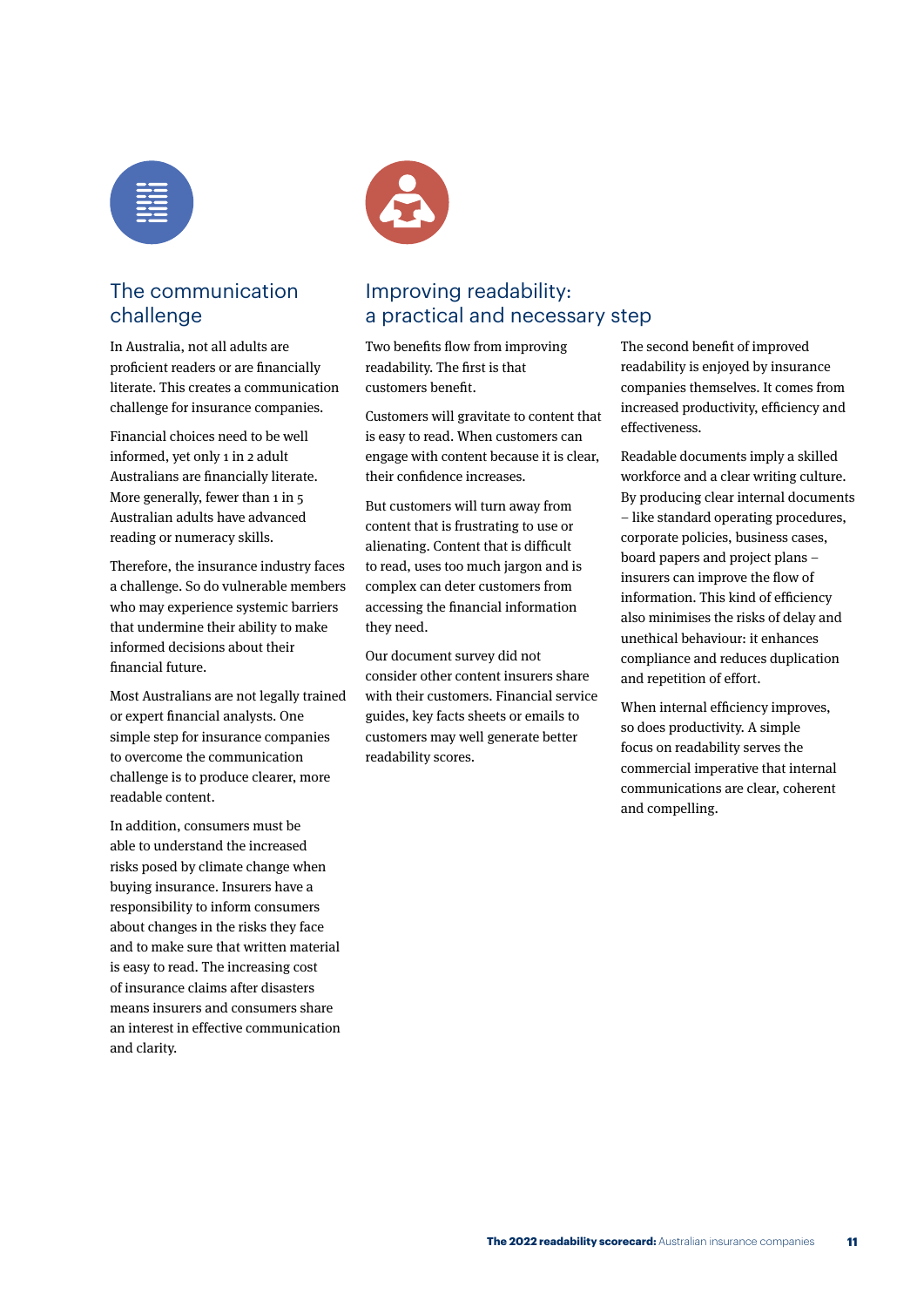| __<br>$\overline{\phantom{a}}$                   |  |
|--------------------------------------------------|--|
| $\sim$ $\sim$<br>___<br>$\overline{\phantom{a}}$ |  |
| __                                               |  |
|                                                  |  |



## The communication challenge

In Australia, not all adults are proficient readers or are financially literate. This creates a communication challenge for insurance companies.

Financial choices need to be well informed, yet only 1 in 2 adult Australians are financially literate. More generally, fewer than 1 in 5 Australian adults have advanced reading or numeracy skills.

Therefore, the insurance industry faces a challenge. So do vulnerable members who may experience systemic barriers that undermine their ability to make informed decisions about their financial future.

Most Australians are not legally trained or expert financial analysts. One simple step for insurance companies to overcome the communication challenge is to produce clearer, more readable content.

In addition, consumers must be able to understand the increased risks posed by climate change when buying insurance. Insurers have a responsibility to inform consumers about changes in the risks they face and to make sure that written material is easy to read. The increasing cost of insurance claims after disasters means insurers and consumers share an interest in effective communication and clarity.

## Improving readability: a practical and necessary step

Two benefits flow from improving readability. The first is that customers benefit.

Customers will gravitate to content that is easy to read. When customers can engage with content because it is clear, their confidence increases.

But customers will turn away from content that is frustrating to use or alienating. Content that is difficult to read, uses too much jargon and is complex can deter customers from accessing the financial information they need.

Our document survey did not consider other content insurers share with their customers. Financial service guides, key facts sheets or emails to customers may well generate better readability scores.

The second benefit of improved readability is enjoyed by insurance companies themselves. It comes from increased productivity, efficiency and effectiveness.

Readable documents imply a skilled workforce and a clear writing culture. By producing clear internal documents – like standard operating procedures, corporate policies, business cases, board papers and project plans – insurers can improve the flow of information. This kind of efficiency also minimises the risks of delay and unethical behaviour: it enhances compliance and reduces duplication and repetition of effort.

When internal efficiency improves, so does productivity. A simple focus on readability serves the commercial imperative that internal communications are clear, coherent and compelling.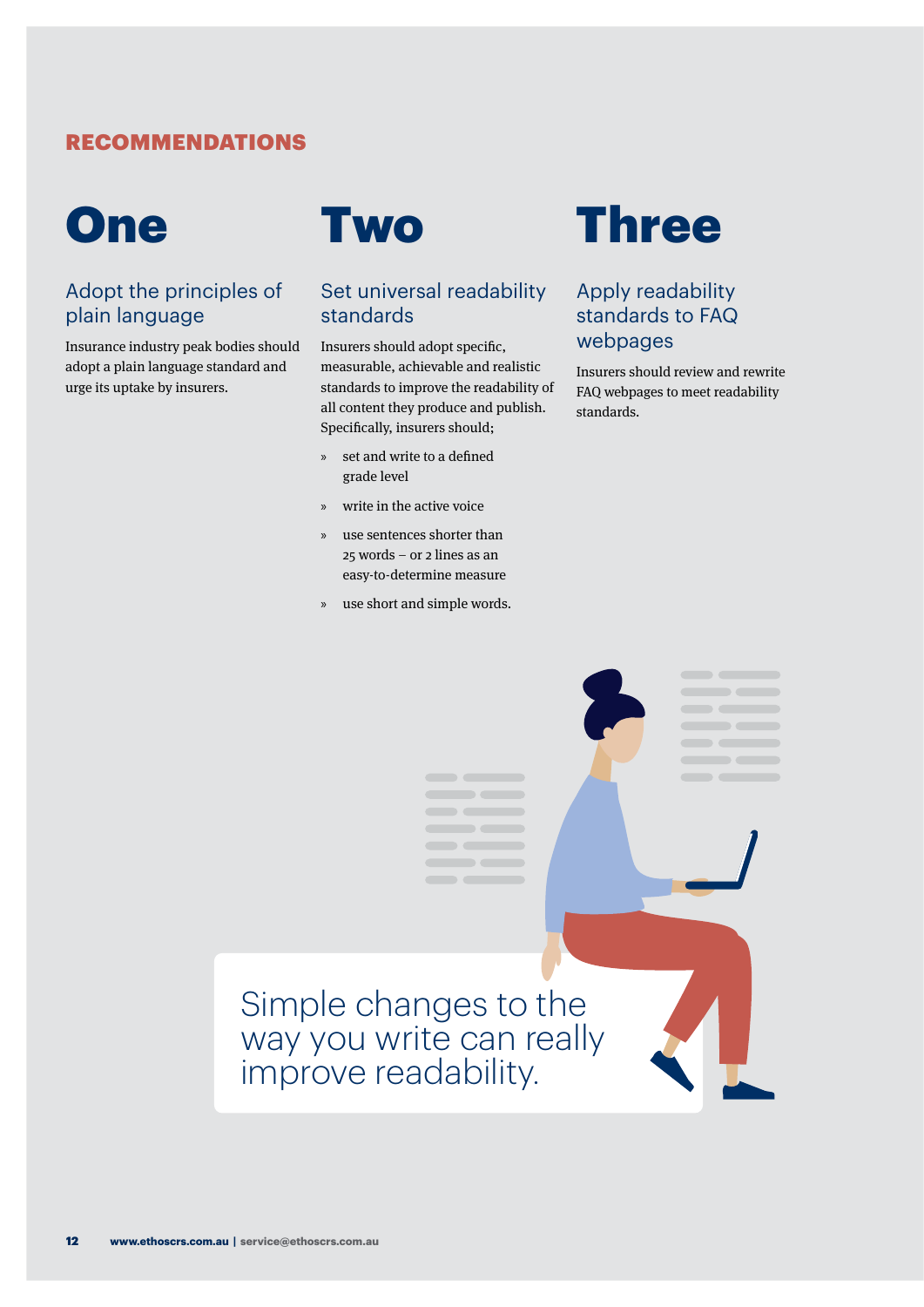## <span id="page-15-0"></span>RECOMMENDATIONS



## Adopt the principles of plain language

Insurance industry peak bodies should adopt a plain language standard and urge its uptake by insurers.



## Set universal readability standards

Insurers should adopt specific, measurable, achievable and realistic standards to improve the readability of all content they produce and publish. Specifically, insurers should;

- » set and write to a defined grade level
- » write in the active voice
- » use sentences shorter than 25 words – or 2 lines as an easy-to-determine measure
- » use short and simple words.



## Apply readability standards to FAQ webpages

Insurers should review and rewrite FAQ webpages to meet readability standards.

> $\begin{tabular}{c} \multicolumn{1}{c} {\textbf{a}} & \multicolumn{1}{c} {\textbf{b}} \\ \multicolumn{1}{c} {\textbf{b}} & \multicolumn{1}{c} {\textbf{c}} \\ \multicolumn{1}{c} {\textbf{b}} & \multicolumn{1}{c} {\textbf{c}} \\ \multicolumn{1}{c} {\textbf{b}} & \multicolumn{1}{c} {\textbf{c}} \\ \multicolumn{1}{c} {\textbf{c}} & \multicolumn{1}{c} {\textbf{d}} \\ \multicolumn{1}{c} {\textbf{d}} & \multicolumn{1}{c} {\textbf{e}} \\ \multicolumn{1}{c} {\textbf{e}} & \multicolumn$  $\qquad \qquad \blacksquare$  $\qquad \qquad \blacksquare$  $\qquad \qquad \blacksquare$

## $\frac{1}{2} \left( \frac{1}{2} \right) \left( \frac{1}{2} \right) \left( \frac{1}{2} \right) \left( \frac{1}{2} \right) \left( \frac{1}{2} \right) \left( \frac{1}{2} \right) \left( \frac{1}{2} \right) \left( \frac{1}{2} \right) \left( \frac{1}{2} \right) \left( \frac{1}{2} \right) \left( \frac{1}{2} \right) \left( \frac{1}{2} \right) \left( \frac{1}{2} \right) \left( \frac{1}{2} \right) \left( \frac{1}{2} \right) \left( \frac{1}{2} \right) \left( \frac$  $\overline{\phantom{a}}$  $\qquad \qquad \blacksquare$  $\blacksquare$ Simple changes to the way you write can really improve readability.

 $\overline{\phantom{m}}$ 

 $\sim$   $\sim$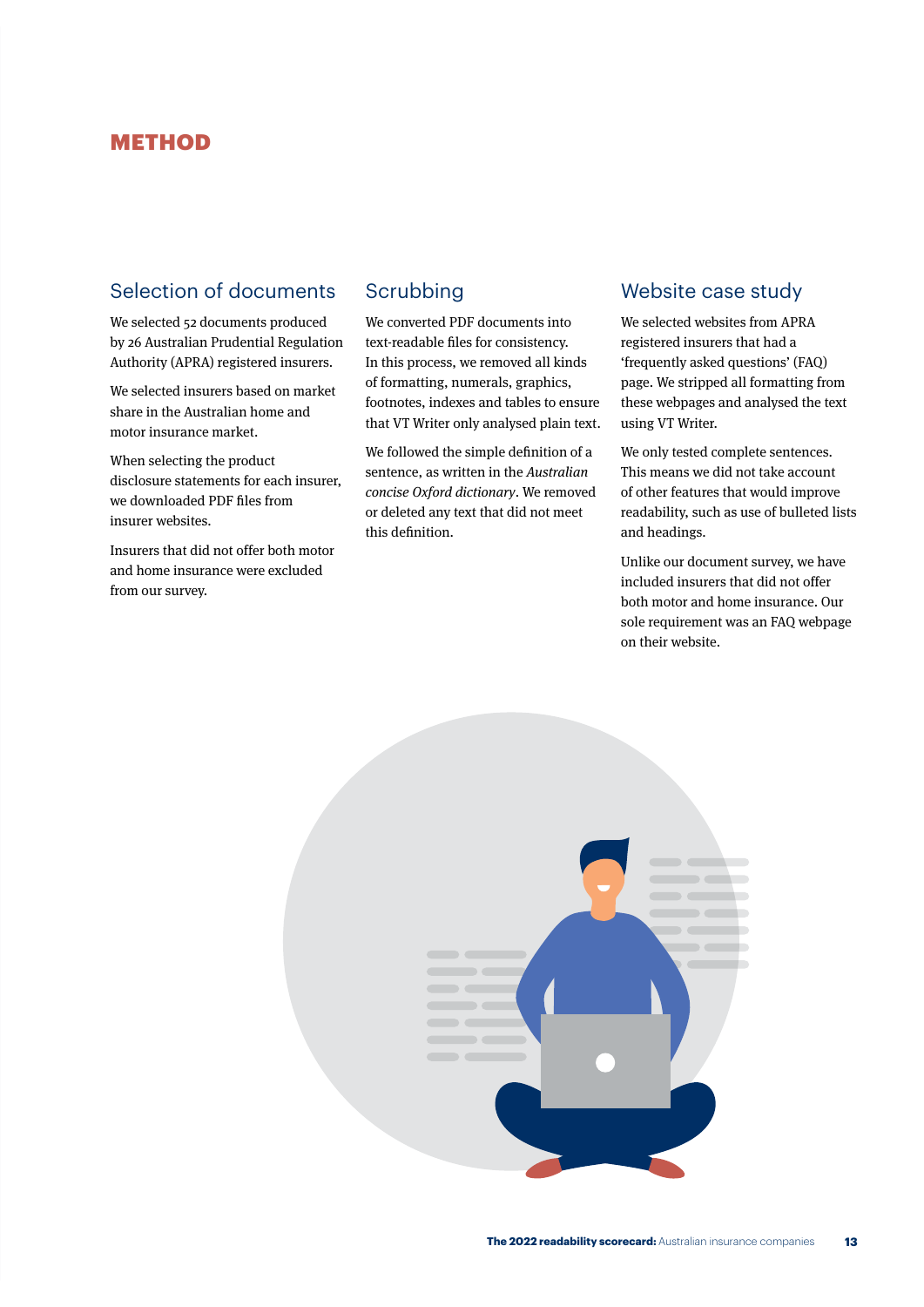## <span id="page-16-0"></span>METHOD

## Selection of documents

We selected 52 documents produced by 26 Australian Prudential Regulation Authority (APRA) registered insurers.

We selected insurers based on market share in the Australian home and motor insurance market.

When selecting the product disclosure statements for each insurer, we downloaded PDF files from insurer websites.

Insurers that did not offer both motor and home insurance were excluded from our survey.

## Scrubbing

We converted PDF documents into text-readable files for consistency. In this process, we removed all kinds of formatting, numerals, graphics, footnotes, indexes and tables to ensure that VT Writer only analysed plain text.

We followed the simple definition of a sentence, as written in the Australian concise Oxford dictionary. We removed or deleted any text that did not meet this definition.

## Website case study

We selected websites from APRA registered insurers that had a 'frequently asked questions' (FAQ) page. We stripped all formatting from these webpages and analysed the text using VT Writer.

We only tested complete sentences. This means we did not take account of other features that would improve readability, such as use of bulleted lists and headings.

Unlike our document survey, we have included insurers that did not offer both motor and home insurance. Our sole requirement was an FAQ webpage on their website.

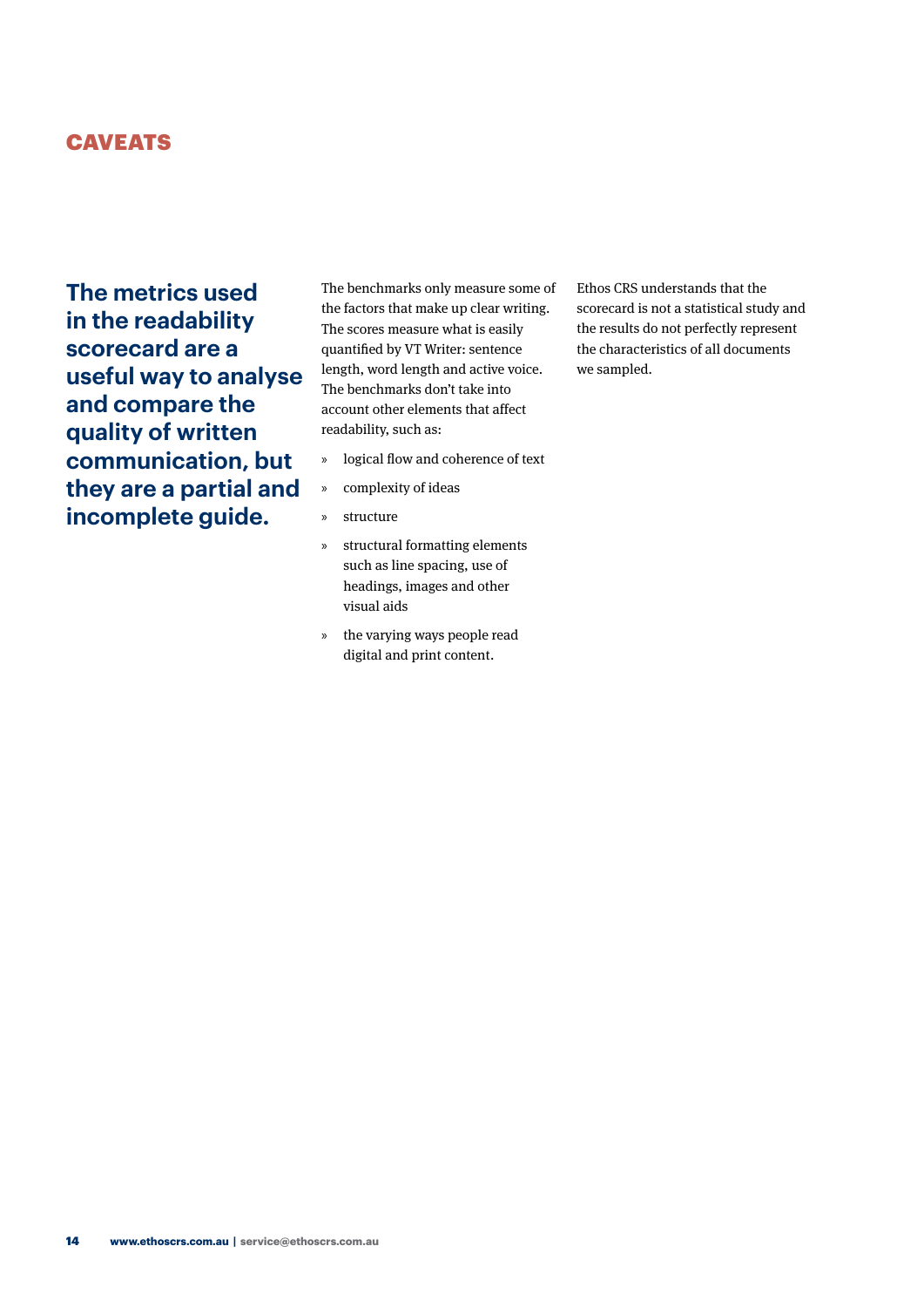## <span id="page-17-0"></span>**CAVEATS**

**The metrics used in the readability scorecard are a useful way to analyse and compare the quality of written communication, but they are a partial and incomplete guide.** 

The benchmarks only measure some of the factors that make up clear writing. The scores measure what is easily quantified by VT Writer: sentence length, word length and active voice. The benchmarks don't take into account other elements that affect readability, such as:

- » logical flow and coherence of text
- » complexity of ideas
- » structure
- » structural formatting elements such as line spacing, use of headings, images and other visual aids
- » the varying ways people read digital and print content.

Ethos CRS understands that the scorecard is not a statistical study and the results do not perfectly represent the characteristics of all documents we sampled.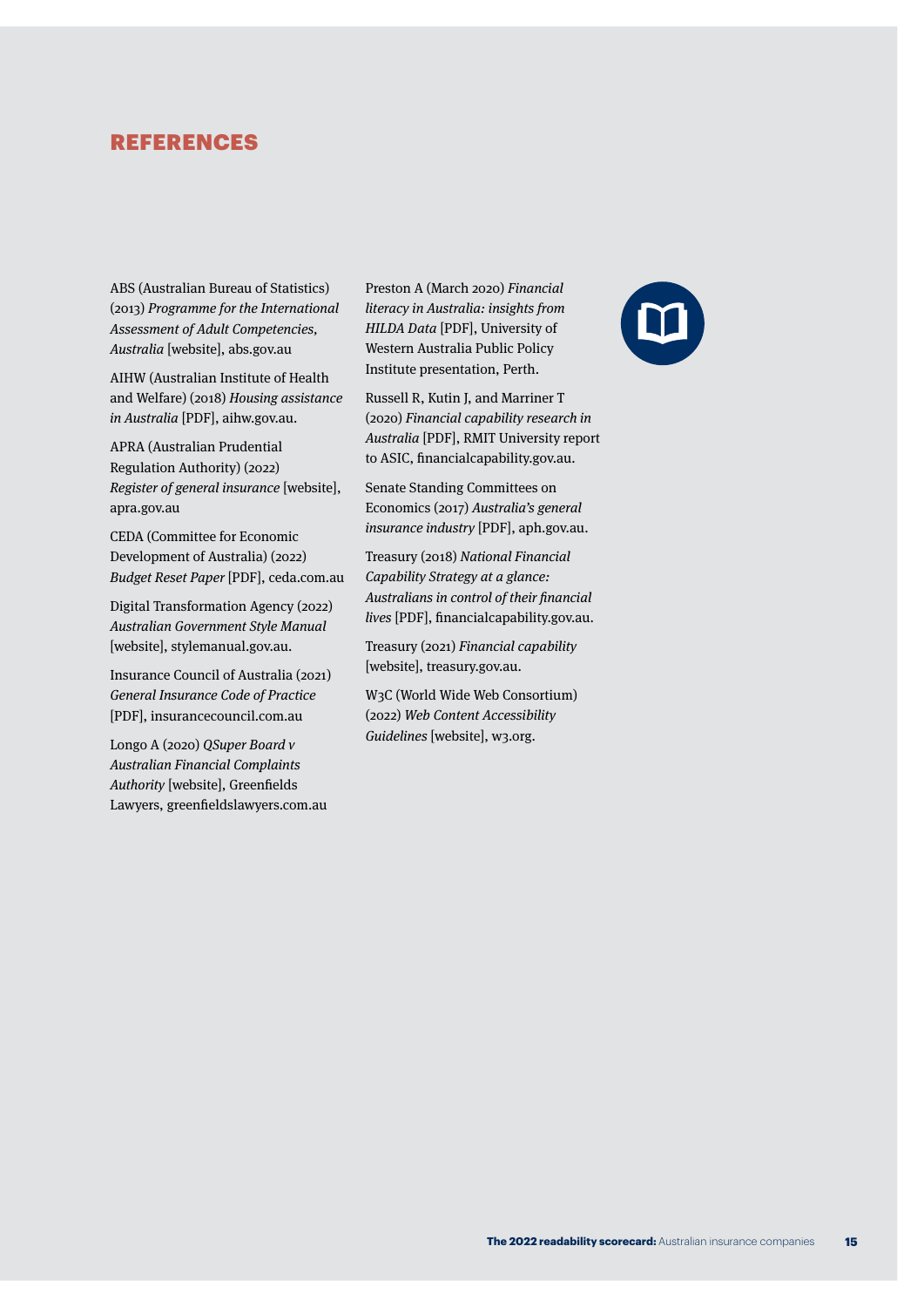## <span id="page-18-0"></span>REFERENCES

ABS (Australian Bureau of Statistics) (2013) Programme for the International Assessment of Adult Competencies, Australia [website], abs.gov.au

AIHW (Australian Institute of Health and Welfare) (2018) Housing assistance in Australia [PDF], aihw.gov.au.

APRA (Australian Prudential Regulation Authority) (2022) Register of general insurance [website], apra.gov.au

CEDA (Committee for Economic Development of Australia) (2022) Budget Reset Paper [PDF], ceda.com.au

Digital Transformation Agency (2022) Australian Government Style Manual [website], stylemanual.gov.au.

Insurance Council of Australia (2021) General Insurance Code of Practice [PDF], insurancecouncil.com.au

Longo A (2020) QSuper Board v Australian Financial Complaints Authority [website], Greenfields Lawyers, greenfieldslawyers.com.au Preston A (March 2020) Financial literacy in Australia: insights from HILDA Data [PDF], University of Western Australia Public Policy Institute presentation, Perth.

Russell R, Kutin J, and Marriner T (2020) Financial capability research in Australia [PDF], RMIT University report to ASIC, financialcapability.gov.au.

Senate Standing Committees on Economics (2017) Australia's general insurance industry [PDF], aph.gov.au.

Treasury (2018) National Financial Capability Strategy at a glance: Australians in control of their financial lives [PDF], financialcapability.gov.au.

Treasury (2021) Financial capability [website], treasury.gov.au.

W3C (World Wide Web Consortium) (2022) Web Content Accessibility Guidelines [website], w3.org.

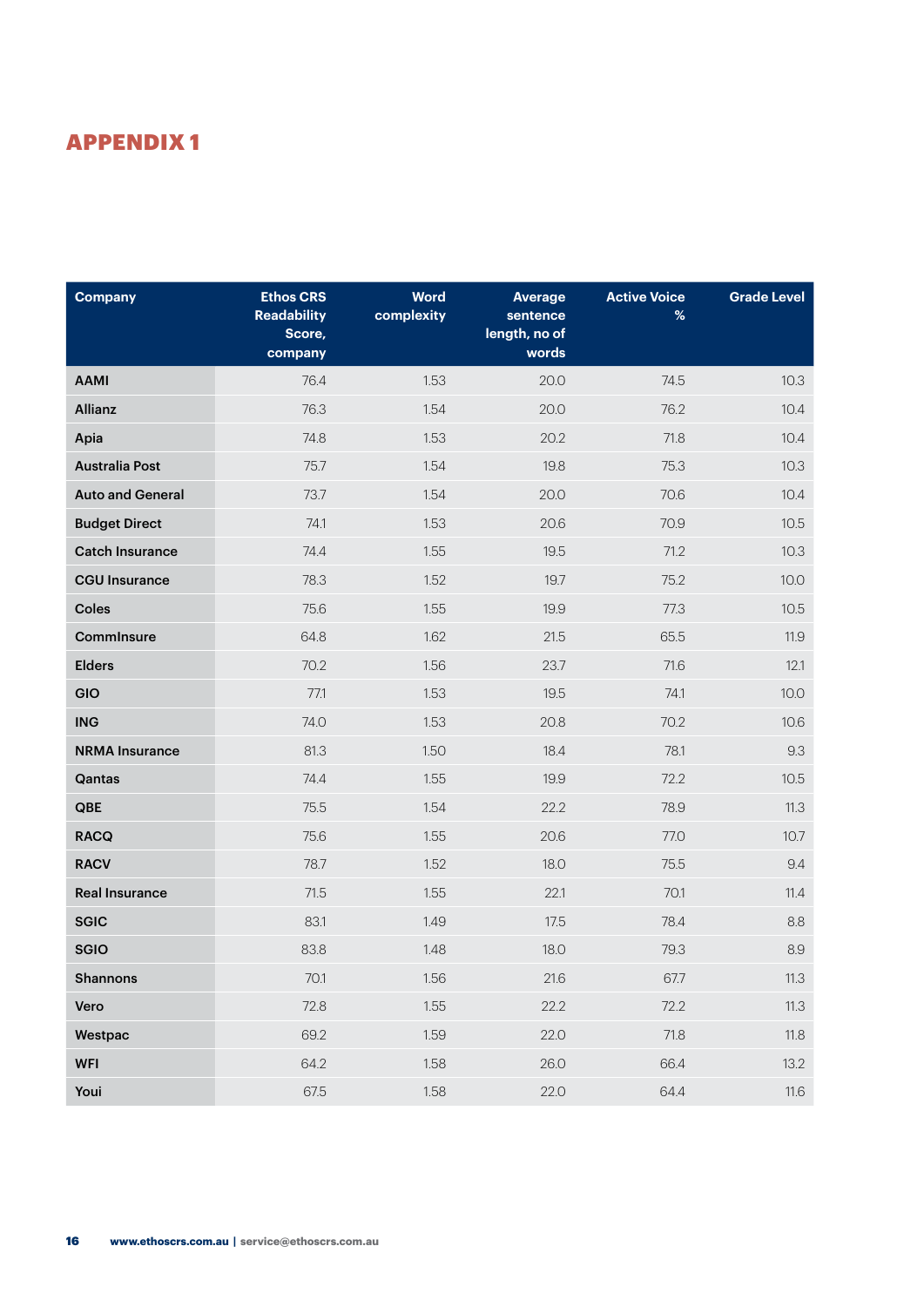## <span id="page-19-0"></span>APPENDIX 1

| <b>Company</b>          | <b>Ethos CRS</b><br><b>Readability</b><br>Score,<br>company | <b>Word</b><br>complexity | <b>Average</b><br>sentence<br>length, no of<br>words | <b>Active Voice</b><br>% | <b>Grade Level</b> |
|-------------------------|-------------------------------------------------------------|---------------------------|------------------------------------------------------|--------------------------|--------------------|
| <b>AAMI</b>             | 76.4                                                        | 1.53                      | 20.0                                                 | 74.5                     | 10.3               |
| Allianz                 | 76.3                                                        | 1.54                      | 20.0                                                 | 76.2                     | 10.4               |
| Apia                    | 74.8                                                        | 1.53                      | 20.2                                                 | 71.8                     | 10.4               |
| <b>Australia Post</b>   | 75.7                                                        | 1.54                      | 19.8                                                 | 75.3                     | 10.3               |
| <b>Auto and General</b> | 73.7                                                        | 1.54                      | 20.0                                                 | 70.6                     | 10.4               |
| <b>Budget Direct</b>    | 74.1                                                        | 1.53                      | 20.6                                                 | 70.9                     | 10.5               |
| <b>Catch Insurance</b>  | 74.4                                                        | 1.55                      | 19.5                                                 | 71.2                     | 10.3               |
| <b>CGU Insurance</b>    | 78.3                                                        | 1.52                      | 19.7                                                 | 75.2                     | 10.0               |
| Coles                   | 75.6                                                        | 1.55                      | 19.9                                                 | 77.3                     | 10.5               |
| CommInsure              | 64.8                                                        | 1.62                      | 21.5                                                 | 65.5                     | 11.9               |
| <b>Elders</b>           | 70.2                                                        | 1.56                      | 23.7                                                 | 71.6                     | 12.1               |
| GIO                     | 77.1                                                        | 1.53                      | 19.5                                                 | 74.1                     | 10.0               |
| <b>ING</b>              | 74.0                                                        | 1.53                      | 20.8                                                 | 70.2                     | 10.6               |
| <b>NRMA Insurance</b>   | 81.3                                                        | 1.50                      | 18.4                                                 | 78.1                     | 9.3                |
| Qantas                  | 74.4                                                        | 1.55                      | 19.9                                                 | 72.2                     | 10.5               |
| QBE                     | 75.5                                                        | 1.54                      | 22.2                                                 | 78.9                     | 11.3               |
| <b>RACQ</b>             | 75.6                                                        | 1.55                      | 20.6                                                 | 77.0                     | 10.7               |
| <b>RACV</b>             | 78.7                                                        | 1.52                      | 18.0                                                 | 75.5                     | 9.4                |
| <b>Real Insurance</b>   | 71.5                                                        | 1.55                      | 22.1                                                 | 70.1                     | 11.4               |
| <b>SGIC</b>             | 83.1                                                        | 1.49                      | 17.5                                                 | 78.4                     | 8.8                |
| <b>SGIO</b>             | 83.8                                                        | 1.48                      | 18.0                                                 | 79.3                     | 8.9                |
| <b>Shannons</b>         | $70.1$                                                      | 1.56                      | $21.6\,$                                             | 67.7                     | 11.3               |
| Vero                    | 72.8                                                        | 1.55                      | 22.2                                                 | 72.2                     | 11.3               |
| Westpac                 | 69.2                                                        | 1.59                      | 22.0                                                 | 71.8                     | 11.8               |
| <b>WFI</b>              | 64.2                                                        | 1.58                      | 26.0                                                 | 66.4                     | 13.2               |
| Youi                    | 67.5                                                        | 1.58                      | 22.0                                                 | 64.4                     | 11.6               |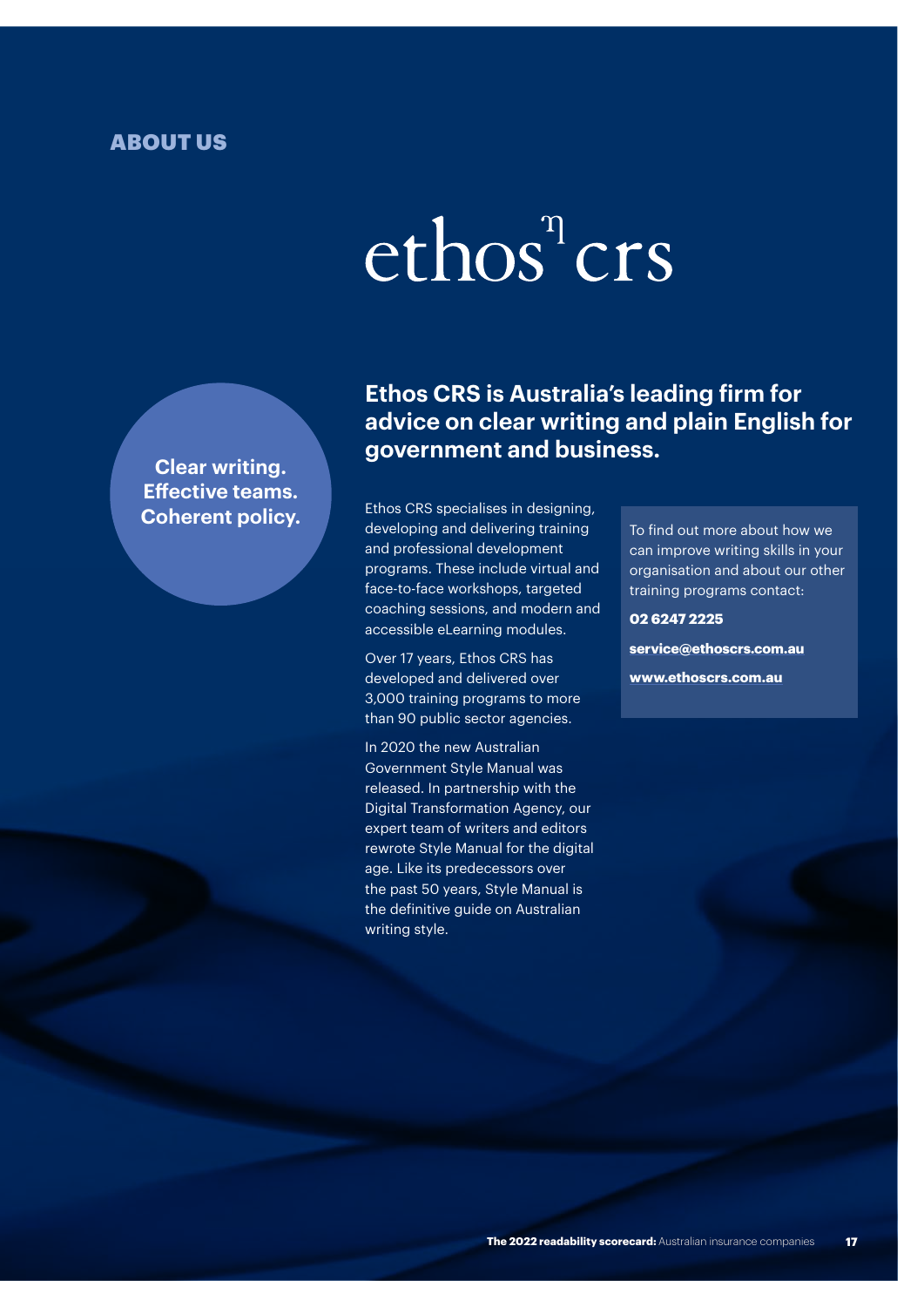## <span id="page-20-0"></span>ABOUT US

# ethos<sup>"</sup>crs

**Clear writing. Effective teams.** 

## **Ethos CRS is Australia's leading firm for advice on clear writing and plain English for government and business.**

**Coherent policy.**<br>developing and delivering training To find out more about how we Ethos CRS specialises in designing, and professional development programs. These include virtual and face-to-face workshops, targeted coaching sessions, and modern and accessible eLearning modules.

> Over 17 years, Ethos CRS has developed and delivered over 3,000 training programs to more than 90 public sector agencies.

In 2020 the new Australian Government Style Manual was released. In partnership with the Digital Transformation Agency, our expert team of writers and editors rewrote Style Manual for the digital age. Like its predecessors over the past 50 years, Style Manual is the definitive guide on Australian writing style.

can improve writing skills in your organisation and about our other training programs contact:

#### **02 6247 2225**

**service@ethoscrs.com.au www.ethoscrs.com.au**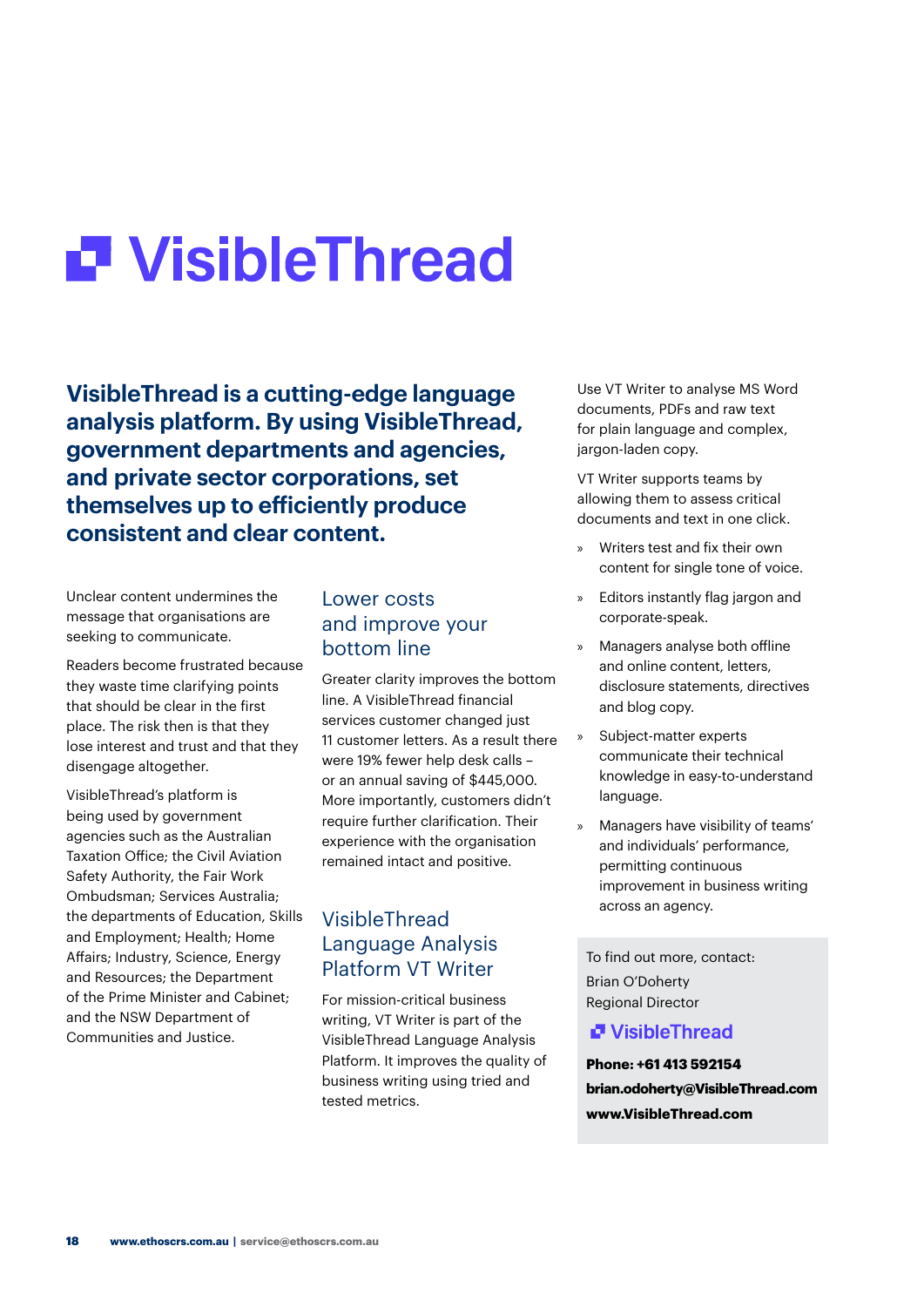## **P** Visible Thread

**VisibleThread is a cutting-edge language analysis platform. By using VisibleThread, government departments and agencies, and private sector corporations, set themselves up to efficiently produce consistent and clear content.**

Unclear content undermines the message that organisations are seeking to communicate.

Readers become frustrated because they waste time clarifying points that should be clear in the first place. The risk then is that they lose interest and trust and that they disengage altogether.

VisibleThread's platform is being used by government agencies such as the Australian Taxation Office; the Civil Aviation Safety Authority, the Fair Work Ombudsman; Services Australia; the departments of Education, Skills and Employment; Health; Home Affairs; Industry, Science, Energy and Resources; the Department of the Prime Minister and Cabinet; and the NSW Department of Communities and Justice.

## Lower costs and improve your bottom line

Greater clarity improves the bottom line. A VisibleThread financial services customer changed just 11 customer letters. As a result there were 19% fewer help desk calls – or an annual saving of \$445,000. More importantly, customers didn't require further clarification. Their experience with the organisation remained intact and positive.

## VisibleThread Language Analysis Platform VT Writer

For mission-critical business writing, VT Writer is part of the VisibleThread Language Analysis Platform. It improves the quality of business writing using tried and tested metrics.

Use VT Writer to analyse MS Word documents, PDFs and raw text for plain language and complex, jargon-laden copy.

VT Writer supports teams by allowing them to assess critical documents and text in one click.

- » Writers test and fix their own content for single tone of voice.
- Editors instantly flag jargon and corporate-speak.
- » Managers analyse both offline and online content, letters, disclosure statements, directives and blog copy.
- Subject-matter experts communicate their technical knowledge in easy-to-understand language.
- » Managers have visibility of teams' and individuals' performance, permitting continuous improvement in business writing across an agency.

To find out more, contact: Brian O'Doherty Regional Director

## **P** VisibleThread

**Phone: +61 413 592154 brian.odoherty@VisibleThread.com www.VisibleThread.com**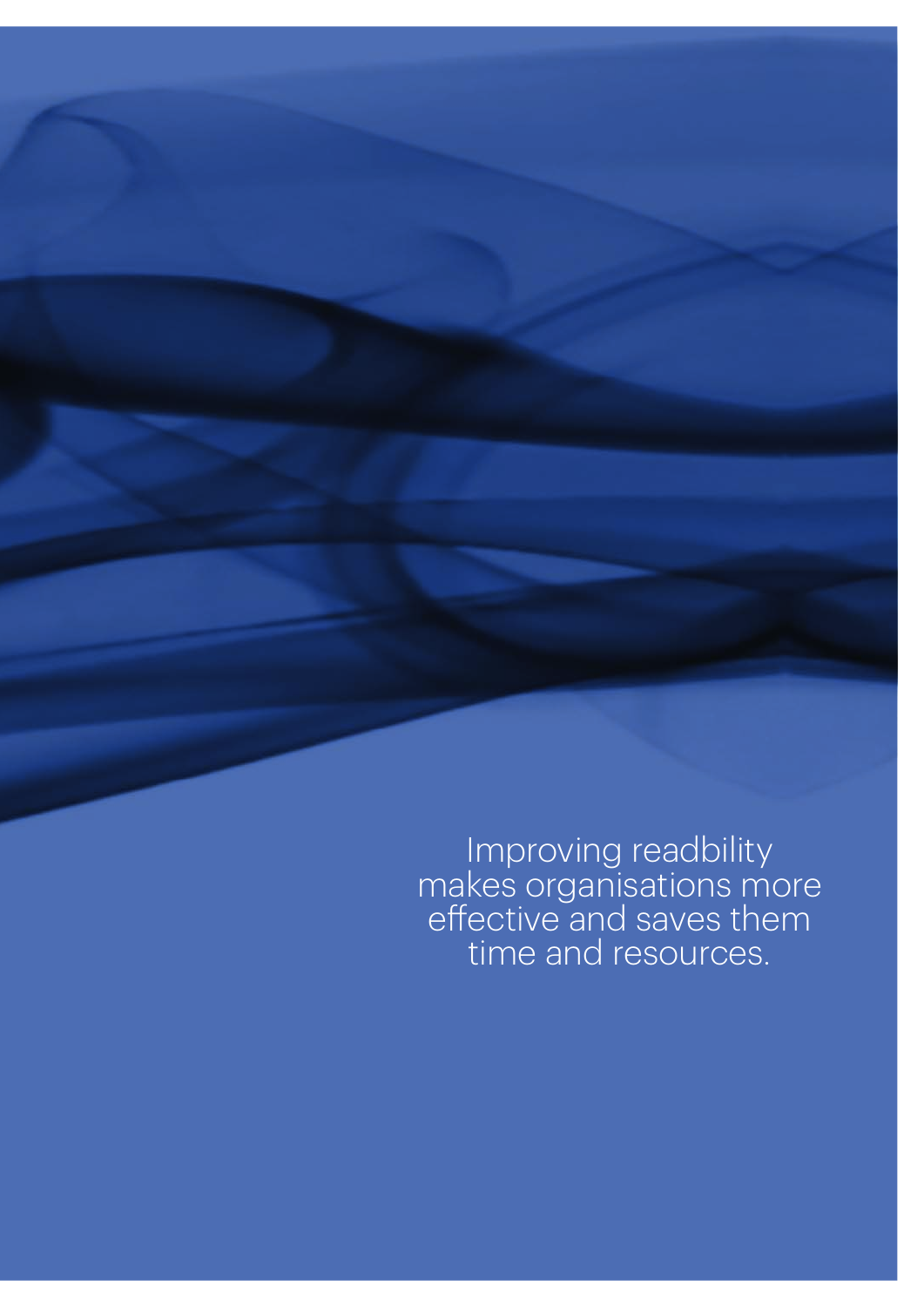Improving readbility makes organisations more effective and saves them time and resources.